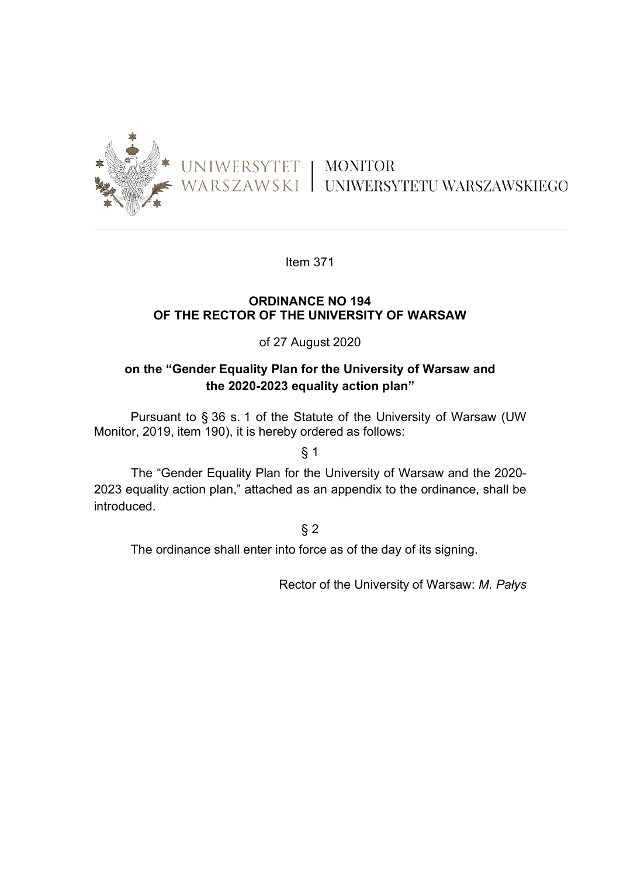

Item 371

#### **ORDINANCE NO 194 OF THE RECTOR OF THE UNIVERSITY OF WARSAW**

#### of 27 August 2020

### **on the "Gender Equality Plan for the University of Warsaw and the 2020-2023 equality action plan"**

Pursuant to § 36 s. 1 of the Statute of the University of Warsaw (UW Monitor, 2019, item 190), it is hereby ordered as follows:

 $§$  1

The "Gender Equality Plan for the University of Warsaw and the 2020- 2023 equality action plan," attached as an appendix to the ordinance, shall be introduced.

### $§$  2

The ordinance shall enter into force as of the day of its signing.

Rector of the University of Warsaw: *M. Pałys*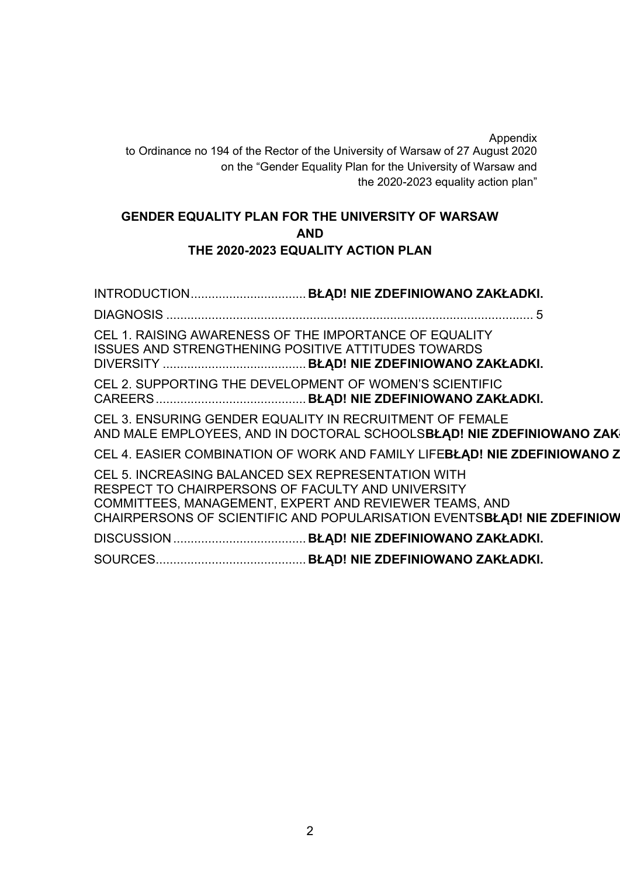Appendix to Ordinance no 194 of the Rector of the University of Warsaw of 27 August 2020 on the "Gender Equality Plan for the University of Warsaw and the 2020-2023 equality action plan"

## **GENDER EQUALITY PLAN FOR THE UNIVERSITY OF WARSAW AND THE 2020-2023 EQUALITY ACTION PLAN**

INTRODUCTION................................. **BŁĄD! NIE ZDEFINIOWANO ZAKŁADKI.** DIAGNOSIS ......................................................................................................... 5 CEL 1. RAISING AWARENESS OF THE IMPORTANCE OF EQUALITY ISSUES AND STRENGTHENING POSITIVE ATTITUDES TOWARDS DIVERSITY ......................................... **BŁĄD! NIE ZDEFINIOWANO ZAKŁADKI.** CEL 2. SUPPORTING THE DEVELOPMENT OF WOMEN'S SCIENTIFIC CAREERS........................................... **BŁĄD! NIE ZDEFINIOWANO ZAKŁADKI.** CEL 3. ENSURING GENDER EQUALITY IN RECRUITMENT OF FEMALE AND MALE EMPLOYEES, AND IN DOCTORAL SCHOOLS**BŁĄD! NIE ZDEFINIOWANO ZAK** CEL 4. EASIER COMBINATION OF WORK AND FAMILY LIFEBLAD! NIE ZDEFINIOWANO Z CEL 5. INCREASING BALANCED SEX REPRESENTATION WITH RESPECT TO CHAIRPERSONS OF FACULTY AND UNIVERSITY COMMITTEES, MANAGEMENT, EXPERT AND REVIEWER TEAMS, AND CHAIRPERSONS OF SCIENTIFIC AND POPULARISATION EVENTSBLAD! NIE ZDEFINIOW DISCUSSION...................................... **BŁĄD! NIE ZDEFINIOWANO ZAKŁADKI.** SOURCES........................................... **BŁĄD! NIE ZDEFINIOWANO ZAKŁADKI.**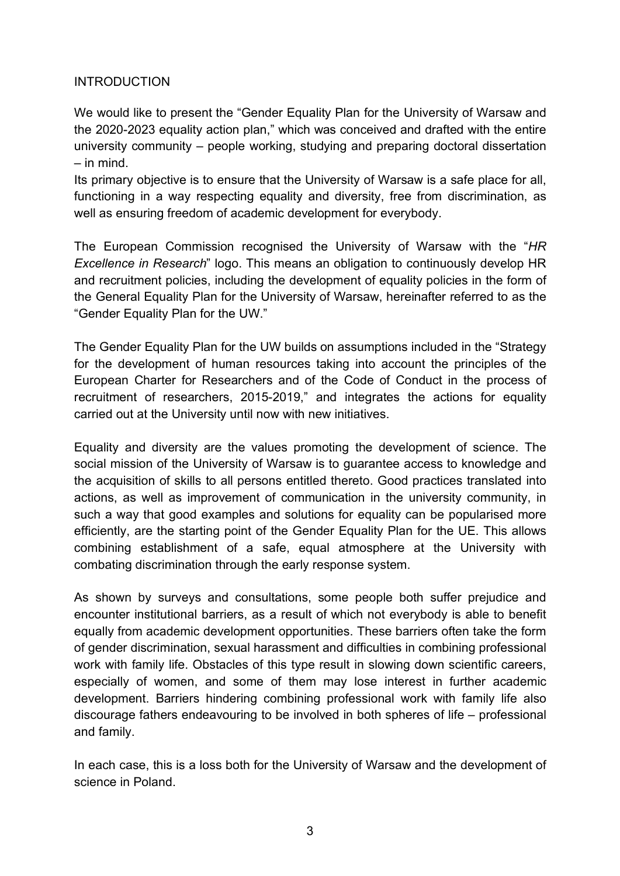### **INTRODUCTION**

We would like to present the "Gender Equality Plan for the University of Warsaw and the 2020-2023 equality action plan," which was conceived and drafted with the entire university community – people working, studying and preparing doctoral dissertation – in mind.

Its primary objective is to ensure that the University of Warsaw is a safe place for all, functioning in a way respecting equality and diversity, free from discrimination, as well as ensuring freedom of academic development for everybody.

The European Commission recognised the University of Warsaw with the "*HR Excellence in Research*" logo. This means an obligation to continuously develop HR and recruitment policies, including the development of equality policies in the form of the General Equality Plan for the University of Warsaw, hereinafter referred to as the "Gender Equality Plan for the UW."

The Gender Equality Plan for the UW builds on assumptions included in the "Strategy for the development of human resources taking into account the principles of the European Charter for Researchers and of the Code of Conduct in the process of recruitment of researchers, 2015-2019," and integrates the actions for equality carried out at the University until now with new initiatives.

Equality and diversity are the values promoting the development of science. The social mission of the University of Warsaw is to guarantee access to knowledge and the acquisition of skills to all persons entitled thereto. Good practices translated into actions, as well as improvement of communication in the university community, in such a way that good examples and solutions for equality can be popularised more efficiently, are the starting point of the Gender Equality Plan for the UE. This allows combining establishment of a safe, equal atmosphere at the University with combating discrimination through the early response system.

As shown by surveys and consultations, some people both suffer prejudice and encounter institutional barriers, as a result of which not everybody is able to benefit equally from academic development opportunities. These barriers often take the form of gender discrimination, sexual harassment and difficulties in combining professional work with family life. Obstacles of this type result in slowing down scientific careers, especially of women, and some of them may lose interest in further academic development. Barriers hindering combining professional work with family life also discourage fathers endeavouring to be involved in both spheres of life – professional and family.

In each case, this is a loss both for the University of Warsaw and the development of science in Poland.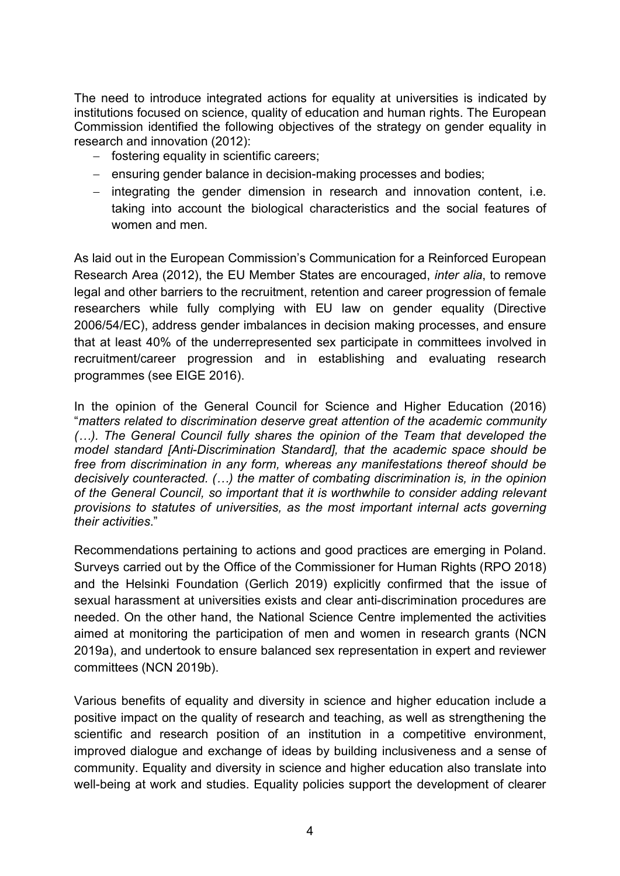The need to introduce integrated actions for equality at universities is indicated by institutions focused on science, quality of education and human rights. The European Commission identified the following objectives of the strategy on gender equality in research and innovation (2012):

- fostering equality in scientific careers;
- ensuring gender balance in decision-making processes and bodies;
- integrating the gender dimension in research and innovation content, i.e. taking into account the biological characteristics and the social features of women and men.

As laid out in the European Commission's Communication for a Reinforced European Research Area (2012), the EU Member States are encouraged, *inter alia*, to remove legal and other barriers to the recruitment, retention and career progression of female researchers while fully complying with EU law on gender equality (Directive 2006/54/EC), address gender imbalances in decision making processes, and ensure that at least 40% of the underrepresented sex participate in committees involved in recruitment/career progression and in establishing and evaluating research programmes (see EIGE 2016).

In the opinion of the General Council for Science and Higher Education (2016) "*matters related to discrimination deserve great attention of the academic community (…). The General Council fully shares the opinion of the Team that developed the model standard [Anti-Discrimination Standard], that the academic space should be free from discrimination in any form, whereas any manifestations thereof should be decisively counteracted. (…) the matter of combating discrimination is, in the opinion of the General Council, so important that it is worthwhile to consider adding relevant provisions to statutes of universities, as the most important internal acts governing their activities*."

Recommendations pertaining to actions and good practices are emerging in Poland. Surveys carried out by the Office of the Commissioner for Human Rights (RPO 2018) and the Helsinki Foundation (Gerlich 2019) explicitly confirmed that the issue of sexual harassment at universities exists and clear anti-discrimination procedures are needed. On the other hand, the National Science Centre implemented the activities aimed at monitoring the participation of men and women in research grants (NCN 2019a), and undertook to ensure balanced sex representation in expert and reviewer committees (NCN 2019b).

Various benefits of equality and diversity in science and higher education include a positive impact on the quality of research and teaching, as well as strengthening the scientific and research position of an institution in a competitive environment, improved dialogue and exchange of ideas by building inclusiveness and a sense of community. Equality and diversity in science and higher education also translate into well-being at work and studies. Equality policies support the development of clearer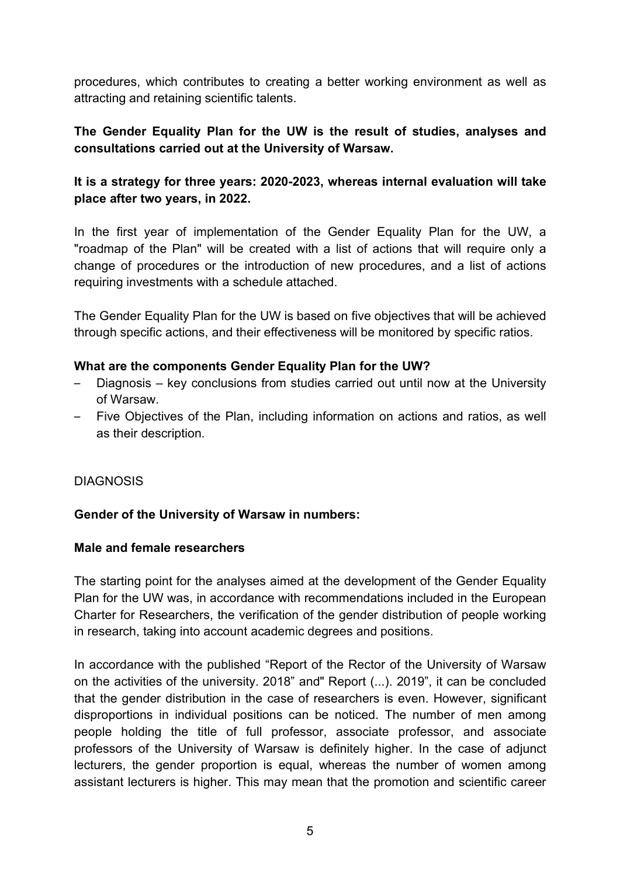procedures, which contributes to creating a better working environment as well as attracting and retaining scientific talents.

# **The Gender Equality Plan for the UW is the result of studies, analyses and consultations carried out at the University of Warsaw.**

## **It is a strategy for three years: 2020-2023, whereas internal evaluation will take place after two years, in 2022.**

In the first year of implementation of the Gender Equality Plan for the UW, a "roadmap of the Plan" will be created with a list of actions that will require only a change of procedures or the introduction of new procedures, and a list of actions requiring investments with a schedule attached.

The Gender Equality Plan for the UW is based on five objectives that will be achieved through specific actions, and their effectiveness will be monitored by specific ratios.

### **What are the components Gender Equality Plan for the UW?**

- Diagnosis key conclusions from studies carried out until now at the University of Warsaw.
- Five Objectives of the Plan, including information on actions and ratios, as well as their description.

## **DIAGNOSIS**

## **Gender of the University of Warsaw in numbers:**

### **Male and female researchers**

The starting point for the analyses aimed at the development of the Gender Equality Plan for the UW was, in accordance with recommendations included in the European Charter for Researchers, the verification of the gender distribution of people working in research, taking into account academic degrees and positions.

In accordance with the published "Report of the Rector of the University of Warsaw on the activities of the university. 2018" and" Report (...). 2019", it can be concluded that the gender distribution in the case of researchers is even. However, significant disproportions in individual positions can be noticed. The number of men among people holding the title of full professor, associate professor, and associate professors of the University of Warsaw is definitely higher. In the case of adjunct lecturers, the gender proportion is equal, whereas the number of women among assistant lecturers is higher. This may mean that the promotion and scientific career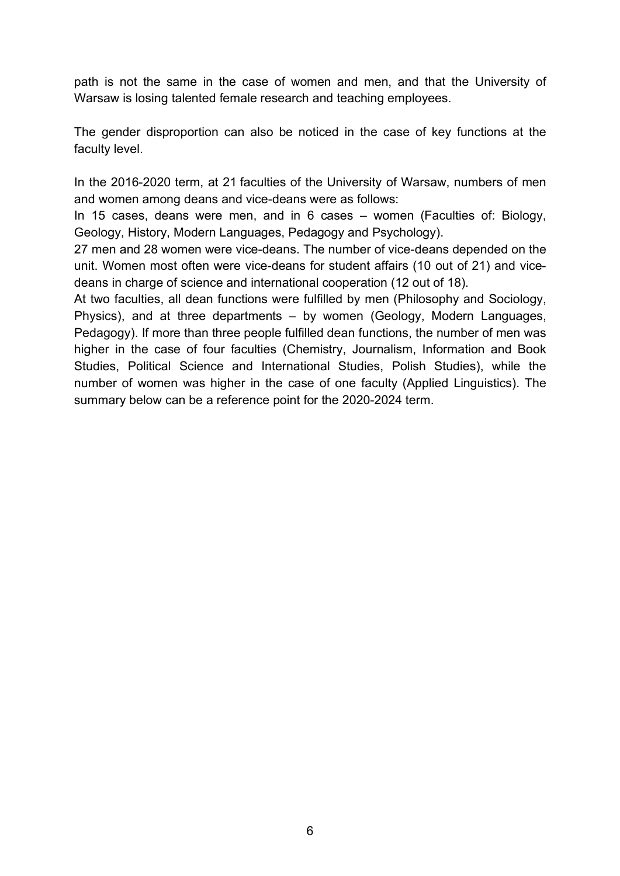path is not the same in the case of women and men, and that the University of Warsaw is losing talented female research and teaching employees.

The gender disproportion can also be noticed in the case of key functions at the faculty level.

In the 2016-2020 term, at 21 faculties of the University of Warsaw, numbers of men and women among deans and vice-deans were as follows:

In 15 cases, deans were men, and in 6 cases – women (Faculties of: Biology, Geology, History, Modern Languages, Pedagogy and Psychology).

27 men and 28 women were vice-deans. The number of vice-deans depended on the unit. Women most often were vice-deans for student affairs (10 out of 21) and vicedeans in charge of science and international cooperation (12 out of 18).

At two faculties, all dean functions were fulfilled by men (Philosophy and Sociology, Physics), and at three departments – by women (Geology, Modern Languages, Pedagogy). If more than three people fulfilled dean functions, the number of men was higher in the case of four faculties (Chemistry, Journalism, Information and Book Studies, Political Science and International Studies, Polish Studies), while the number of women was higher in the case of one faculty (Applied Linguistics). The summary below can be a reference point for the 2020-2024 term.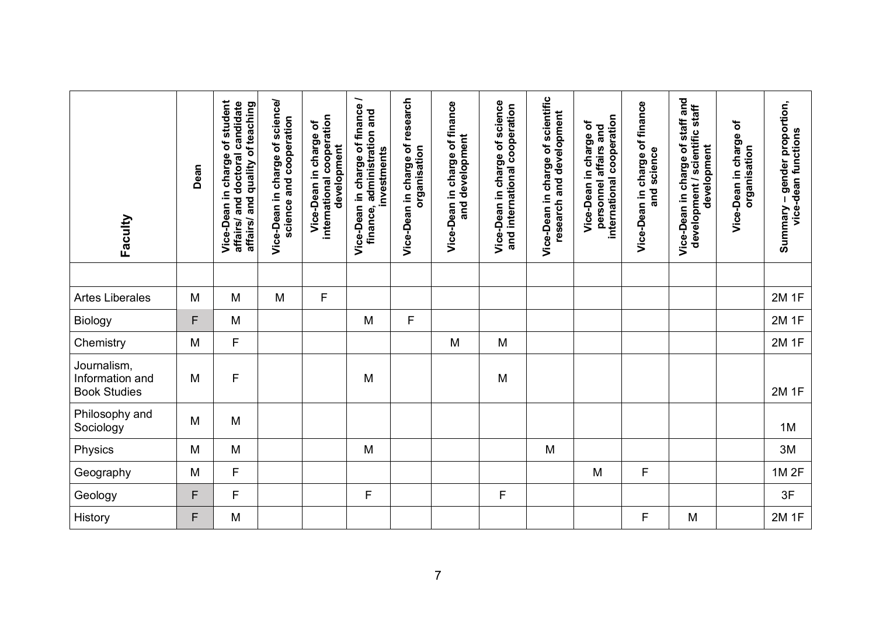| Faculty                                               | Dean | charge of student<br>affairs/ and doctoral candidate<br>affairs/ and quality of teaching<br>Vice-Dean in | Vice-Dean in charge of science/<br>science and cooperation | international cooperation<br>৳<br>Vice-Dean in charge<br>development | Vice-Dean in charge of finance /<br>finance, administration and<br>investments | Vice-Dean in charge of research<br>organisation | Vice-Dean in charge of finance<br>and development | Vice-Dean in charge of science<br>and international cooperation | Vice-Dean in charge of scientific<br>research and development | international cooperation<br>Vice-Dean in charge of<br>personnel affairs and | Vice-Dean in charge of finance<br>and science | Vice-Dean in charge of staff and<br>development / scientific staff<br>development | Vice-Dean in charge of<br>organisation | nary – gender proportion,<br>vice-dean functions<br>Summary - |
|-------------------------------------------------------|------|----------------------------------------------------------------------------------------------------------|------------------------------------------------------------|----------------------------------------------------------------------|--------------------------------------------------------------------------------|-------------------------------------------------|---------------------------------------------------|-----------------------------------------------------------------|---------------------------------------------------------------|------------------------------------------------------------------------------|-----------------------------------------------|-----------------------------------------------------------------------------------|----------------------------------------|---------------------------------------------------------------|
|                                                       |      |                                                                                                          |                                                            |                                                                      |                                                                                |                                                 |                                                   |                                                                 |                                                               |                                                                              |                                               |                                                                                   |                                        |                                                               |
| <b>Artes Liberales</b>                                | M    | M                                                                                                        | M                                                          | F                                                                    |                                                                                |                                                 |                                                   |                                                                 |                                                               |                                                                              |                                               |                                                                                   |                                        | <b>2M1F</b>                                                   |
| Biology                                               | F    | M                                                                                                        |                                                            |                                                                      | M                                                                              | F                                               |                                                   |                                                                 |                                                               |                                                                              |                                               |                                                                                   |                                        | <b>2M1F</b>                                                   |
| Chemistry                                             | M    | $\mathsf F$                                                                                              |                                                            |                                                                      |                                                                                |                                                 | M                                                 | M                                                               |                                                               |                                                                              |                                               |                                                                                   |                                        | <b>2M1F</b>                                                   |
| Journalism,<br>Information and<br><b>Book Studies</b> | M    | F                                                                                                        |                                                            |                                                                      | M                                                                              |                                                 |                                                   | M                                                               |                                                               |                                                                              |                                               |                                                                                   |                                        | <b>2M1F</b>                                                   |
| Philosophy and<br>Sociology                           | M    | M                                                                                                        |                                                            |                                                                      |                                                                                |                                                 |                                                   |                                                                 |                                                               |                                                                              |                                               |                                                                                   |                                        | 1M                                                            |
| Physics                                               | M    | M                                                                                                        |                                                            |                                                                      | M                                                                              |                                                 |                                                   |                                                                 | M                                                             |                                                                              |                                               |                                                                                   |                                        | 3M                                                            |
| Geography                                             | M    | F                                                                                                        |                                                            |                                                                      |                                                                                |                                                 |                                                   |                                                                 |                                                               | M                                                                            | F                                             |                                                                                   |                                        | 1M 2F                                                         |
| Geology                                               | F    | $\mathsf F$                                                                                              |                                                            |                                                                      | F                                                                              |                                                 |                                                   | F                                                               |                                                               |                                                                              |                                               |                                                                                   |                                        | 3F                                                            |
| History                                               | F    | M                                                                                                        |                                                            |                                                                      |                                                                                |                                                 |                                                   |                                                                 |                                                               |                                                                              | F                                             | M                                                                                 |                                        | <b>2M1F</b>                                                   |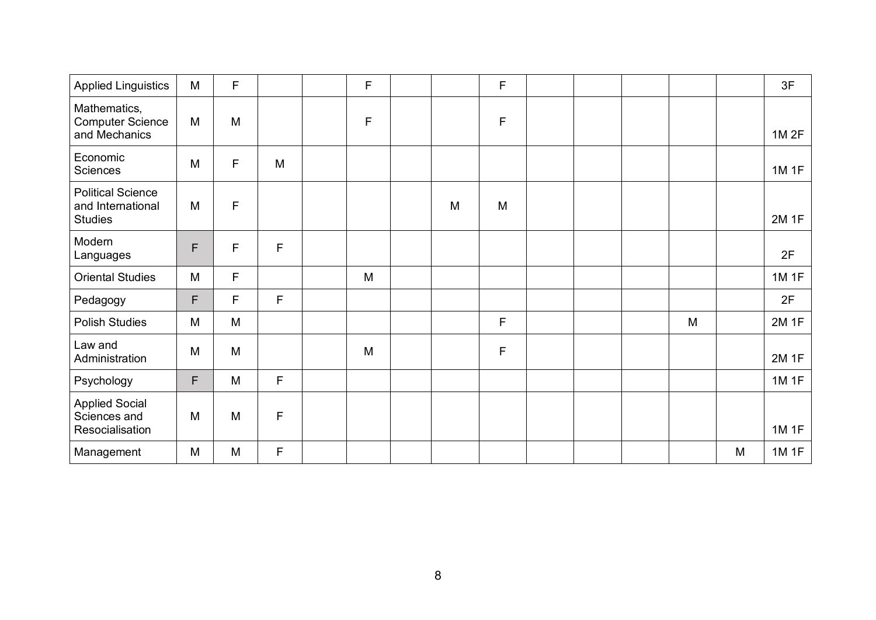| <b>Applied Linguistics</b>                                      | M | F |              | F |   | F |  |   |   | 3F          |
|-----------------------------------------------------------------|---|---|--------------|---|---|---|--|---|---|-------------|
| Mathematics,<br><b>Computer Science</b><br>and Mechanics        | M | M |              | F |   | F |  |   |   | 1M 2F       |
| Economic<br>Sciences                                            | M | F | M            |   |   |   |  |   |   | 1M 1F       |
| <b>Political Science</b><br>and International<br><b>Studies</b> | M | F |              |   | M | M |  |   |   | <b>2M1F</b> |
| Modern<br>Languages                                             | F | F | $\mathsf F$  |   |   |   |  |   |   | 2F          |
| <b>Oriental Studies</b>                                         | M | F |              | M |   |   |  |   |   | 1M 1F       |
| Pedagogy                                                        | F | F | $\mathsf F$  |   |   |   |  |   |   | 2F          |
| <b>Polish Studies</b>                                           | M | M |              |   |   | F |  | M |   | 2M 1F       |
| Law and<br>Administration                                       | M | M |              | M |   | F |  |   |   | 2M 1F       |
| Psychology                                                      | F | M | F            |   |   |   |  |   |   | 1M 1F       |
| <b>Applied Social</b><br>Sciences and<br>Resocialisation        | M | M | $\mathsf{F}$ |   |   |   |  |   |   | 1M 1F       |
| Management                                                      | M | M | F            |   |   |   |  |   | M | 1M 1F       |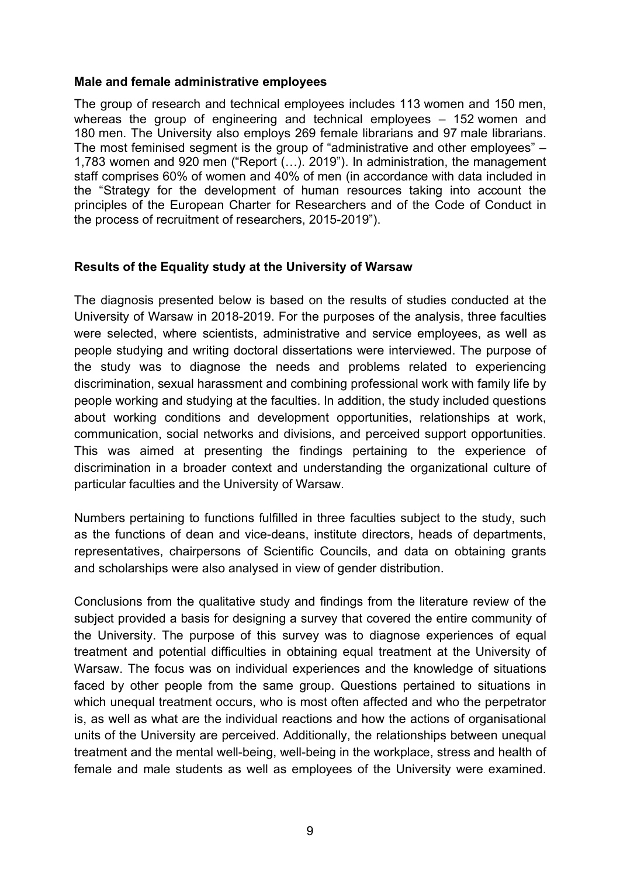#### **Male and female administrative employees**

The group of research and technical employees includes 113 women and 150 men, whereas the group of engineering and technical employees – 152 women and 180 men. The University also employs 269 female librarians and 97 male librarians. The most feminised segment is the group of "administrative and other employees" – 1,783 women and 920 men ("Report (…). 2019"). In administration, the management staff comprises 60% of women and 40% of men (in accordance with data included in the "Strategy for the development of human resources taking into account the principles of the European Charter for Researchers and of the Code of Conduct in the process of recruitment of researchers, 2015-2019").

### **Results of the Equality study at the University of Warsaw**

The diagnosis presented below is based on the results of studies conducted at the University of Warsaw in 2018-2019. For the purposes of the analysis, three faculties were selected, where scientists, administrative and service employees, as well as people studying and writing doctoral dissertations were interviewed. The purpose of the study was to diagnose the needs and problems related to experiencing discrimination, sexual harassment and combining professional work with family life by people working and studying at the faculties. In addition, the study included questions about working conditions and development opportunities, relationships at work, communication, social networks and divisions, and perceived support opportunities. This was aimed at presenting the findings pertaining to the experience of discrimination in a broader context and understanding the organizational culture of particular faculties and the University of Warsaw.

Numbers pertaining to functions fulfilled in three faculties subject to the study, such as the functions of dean and vice-deans, institute directors, heads of departments, representatives, chairpersons of Scientific Councils, and data on obtaining grants and scholarships were also analysed in view of gender distribution.

Conclusions from the qualitative study and findings from the literature review of the subject provided a basis for designing a survey that covered the entire community of the University. The purpose of this survey was to diagnose experiences of equal treatment and potential difficulties in obtaining equal treatment at the University of Warsaw. The focus was on individual experiences and the knowledge of situations faced by other people from the same group. Questions pertained to situations in which unequal treatment occurs, who is most often affected and who the perpetrator is, as well as what are the individual reactions and how the actions of organisational units of the University are perceived. Additionally, the relationships between unequal treatment and the mental well-being, well-being in the workplace, stress and health of female and male students as well as employees of the University were examined.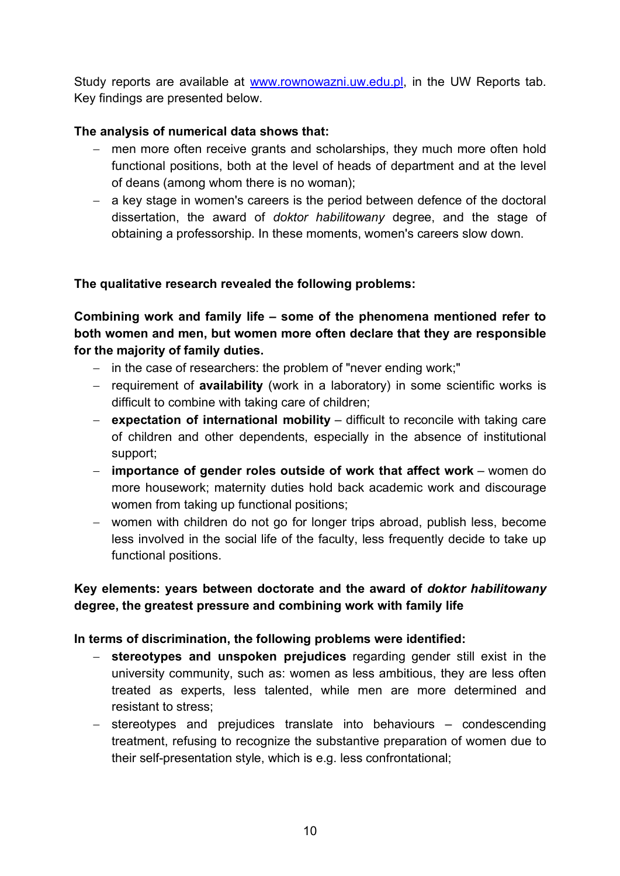Study reports are available at www.rownowazni.uw.edu.pl, in the UW Reports tab. Key findings are presented below.

## **The analysis of numerical data shows that:**

- men more often receive grants and scholarships, they much more often hold functional positions, both at the level of heads of department and at the level of deans (among whom there is no woman);
- a key stage in women's careers is the period between defence of the doctoral dissertation, the award of *doktor habilitowany* degree, and the stage of obtaining a professorship. In these moments, women's careers slow down.

## **The qualitative research revealed the following problems:**

**Combining work and family life – some of the phenomena mentioned refer to both women and men, but women more often declare that they are responsible for the majority of family duties.**

- in the case of researchers: the problem of "never ending work;"
- requirement of **availability** (work in a laboratory) in some scientific works is difficult to combine with taking care of children;
- **expectation of international mobility** difficult to reconcile with taking care of children and other dependents, especially in the absence of institutional support;
- **importance of gender roles outside of work that affect work** women do more housework; maternity duties hold back academic work and discourage women from taking up functional positions;
- women with children do not go for longer trips abroad, publish less, become less involved in the social life of the faculty, less frequently decide to take up functional positions.

## **Key elements: years between doctorate and the award of** *doktor habilitowany* **degree, the greatest pressure and combining work with family life**

## **In terms of discrimination, the following problems were identified:**

- **stereotypes and unspoken prejudices** regarding gender still exist in the university community, such as: women as less ambitious, they are less often treated as experts, less talented, while men are more determined and resistant to stress;
- stereotypes and prejudices translate into behaviours condescending treatment, refusing to recognize the substantive preparation of women due to their self-presentation style, which is e.g. less confrontational;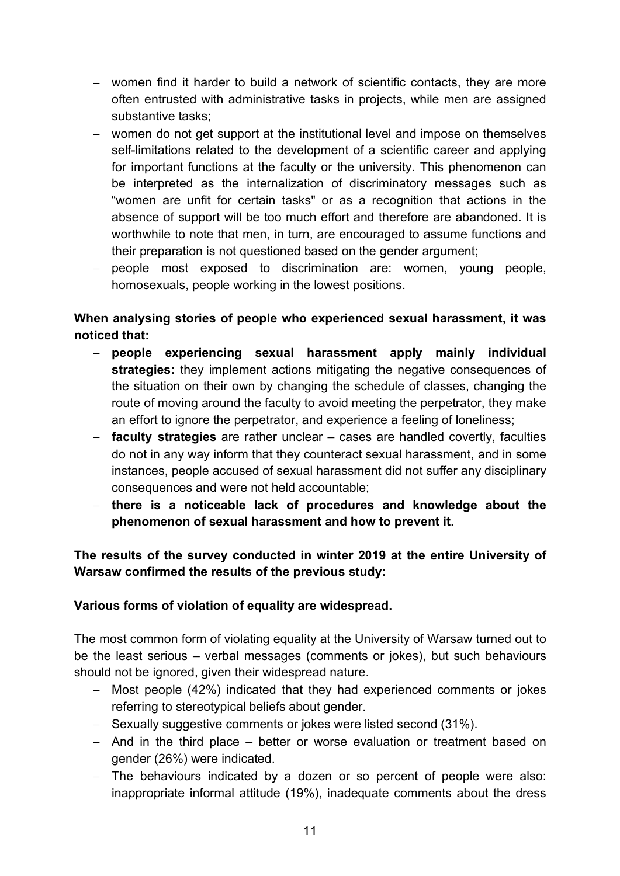- women find it harder to build a network of scientific contacts, they are more often entrusted with administrative tasks in projects, while men are assigned substantive tasks;
- women do not get support at the institutional level and impose on themselves self-limitations related to the development of a scientific career and applying for important functions at the faculty or the university. This phenomenon can be interpreted as the internalization of discriminatory messages such as "women are unfit for certain tasks" or as a recognition that actions in the absence of support will be too much effort and therefore are abandoned. It is worthwhile to note that men, in turn, are encouraged to assume functions and their preparation is not questioned based on the gender argument;
- people most exposed to discrimination are: women, young people, homosexuals, people working in the lowest positions.

# **When analysing stories of people who experienced sexual harassment, it was noticed that:**

- **people experiencing sexual harassment apply mainly individual strategies:** they implement actions mitigating the negative consequences of the situation on their own by changing the schedule of classes, changing the route of moving around the faculty to avoid meeting the perpetrator, they make an effort to ignore the perpetrator, and experience a feeling of loneliness;
- **faculty strategies** are rather unclear cases are handled covertly, faculties do not in any way inform that they counteract sexual harassment, and in some instances, people accused of sexual harassment did not suffer any disciplinary consequences and were not held accountable;
- **there is a noticeable lack of procedures and knowledge about the phenomenon of sexual harassment and how to prevent it.**

# **The results of the survey conducted in winter 2019 at the entire University of Warsaw confirmed the results of the previous study:**

# **Various forms of violation of equality are widespread.**

The most common form of violating equality at the University of Warsaw turned out to be the least serious – verbal messages (comments or jokes), but such behaviours should not be ignored, given their widespread nature.

- Most people (42%) indicated that they had experienced comments or jokes referring to stereotypical beliefs about gender.
- Sexually suggestive comments or jokes were listed second (31%).
- And in the third place better or worse evaluation or treatment based on gender (26%) were indicated.
- The behaviours indicated by a dozen or so percent of people were also: inappropriate informal attitude (19%), inadequate comments about the dress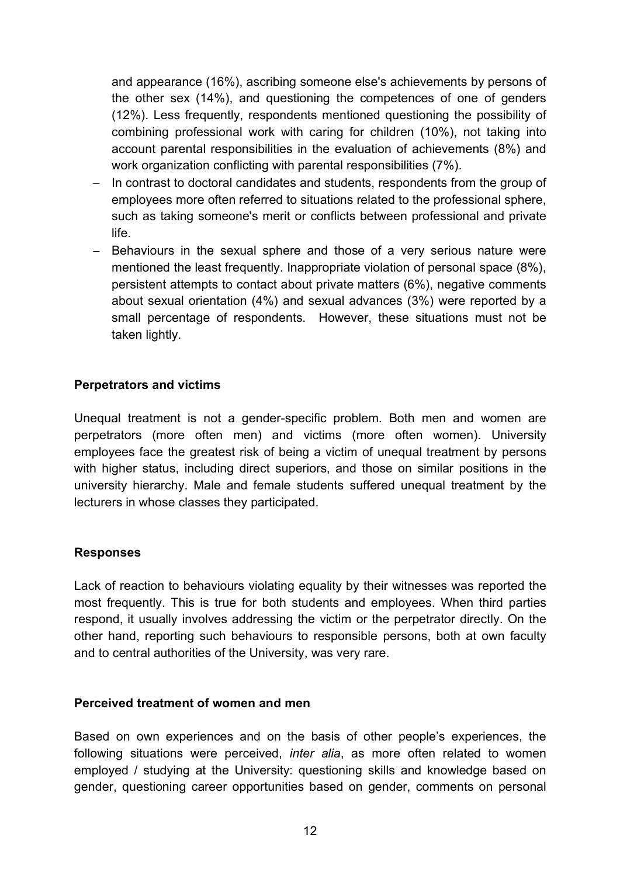and appearance (16%), ascribing someone else's achievements by persons of the other sex (14%), and questioning the competences of one of genders (12%). Less frequently, respondents mentioned questioning the possibility of combining professional work with caring for children (10%), not taking into account parental responsibilities in the evaluation of achievements (8%) and work organization conflicting with parental responsibilities (7%).

- In contrast to doctoral candidates and students, respondents from the group of employees more often referred to situations related to the professional sphere, such as taking someone's merit or conflicts between professional and private life.
- Behaviours in the sexual sphere and those of a very serious nature were mentioned the least frequently. Inappropriate violation of personal space (8%), persistent attempts to contact about private matters (6%), negative comments about sexual orientation (4%) and sexual advances (3%) were reported by a small percentage of respondents. However, these situations must not be taken lightly.

### **Perpetrators and victims**

Unequal treatment is not a gender-specific problem. Both men and women are perpetrators (more often men) and victims (more often women). University employees face the greatest risk of being a victim of unequal treatment by persons with higher status, including direct superiors, and those on similar positions in the university hierarchy. Male and female students suffered unequal treatment by the lecturers in whose classes they participated.

### **Responses**

Lack of reaction to behaviours violating equality by their witnesses was reported the most frequently. This is true for both students and employees. When third parties respond, it usually involves addressing the victim or the perpetrator directly. On the other hand, reporting such behaviours to responsible persons, both at own faculty and to central authorities of the University, was very rare.

### **Perceived treatment of women and men**

Based on own experiences and on the basis of other people's experiences, the following situations were perceived, *inter alia*, as more often related to women employed / studying at the University: questioning skills and knowledge based on gender, questioning career opportunities based on gender, comments on personal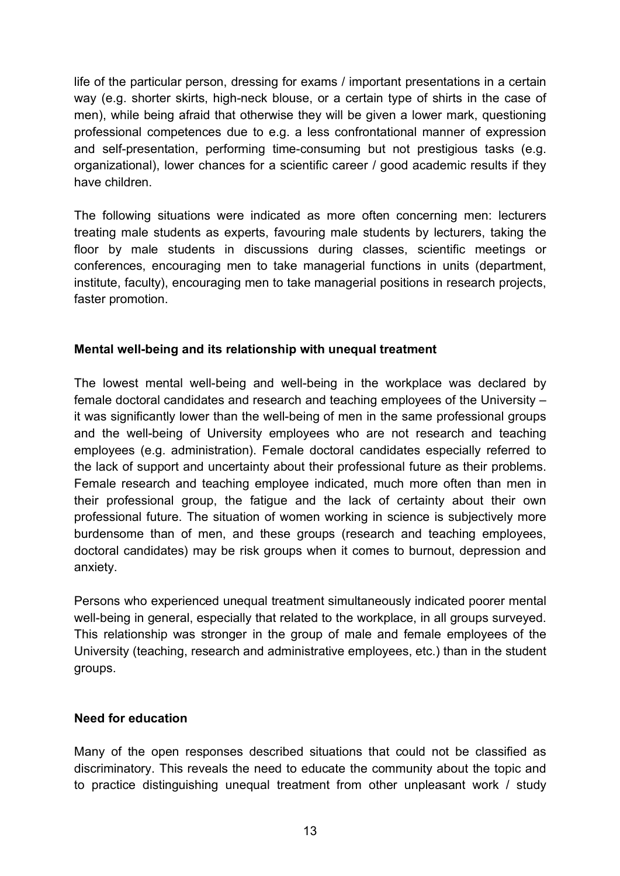life of the particular person, dressing for exams / important presentations in a certain way (e.g. shorter skirts, high-neck blouse, or a certain type of shirts in the case of men), while being afraid that otherwise they will be given a lower mark, questioning professional competences due to e.g. a less confrontational manner of expression and self-presentation, performing time-consuming but not prestigious tasks (e.g. organizational), lower chances for a scientific career / good academic results if they have children.

The following situations were indicated as more often concerning men: lecturers treating male students as experts, favouring male students by lecturers, taking the floor by male students in discussions during classes, scientific meetings or conferences, encouraging men to take managerial functions in units (department, institute, faculty), encouraging men to take managerial positions in research projects, faster promotion.

## **Mental well-being and its relationship with unequal treatment**

The lowest mental well-being and well-being in the workplace was declared by female doctoral candidates and research and teaching employees of the University – it was significantly lower than the well-being of men in the same professional groups and the well-being of University employees who are not research and teaching employees (e.g. administration). Female doctoral candidates especially referred to the lack of support and uncertainty about their professional future as their problems. Female research and teaching employee indicated, much more often than men in their professional group, the fatigue and the lack of certainty about their own professional future. The situation of women working in science is subjectively more burdensome than of men, and these groups (research and teaching employees, doctoral candidates) may be risk groups when it comes to burnout, depression and anxiety.

Persons who experienced unequal treatment simultaneously indicated poorer mental well-being in general, especially that related to the workplace, in all groups surveyed. This relationship was stronger in the group of male and female employees of the University (teaching, research and administrative employees, etc.) than in the student groups.

## **Need for education**

Many of the open responses described situations that could not be classified as discriminatory. This reveals the need to educate the community about the topic and to practice distinguishing unequal treatment from other unpleasant work / study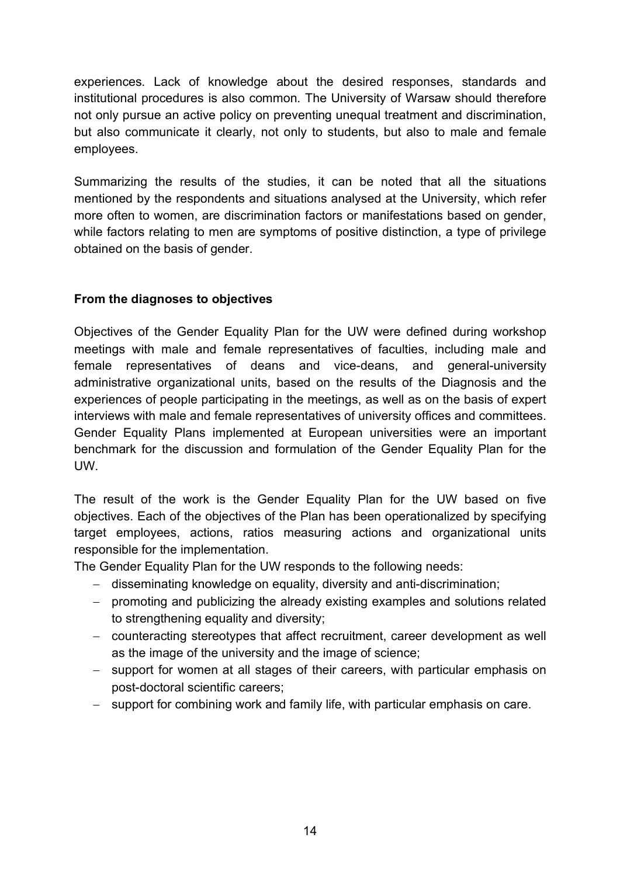experiences. Lack of knowledge about the desired responses, standards and institutional procedures is also common. The University of Warsaw should therefore not only pursue an active policy on preventing unequal treatment and discrimination, but also communicate it clearly, not only to students, but also to male and female employees.

Summarizing the results of the studies, it can be noted that all the situations mentioned by the respondents and situations analysed at the University, which refer more often to women, are discrimination factors or manifestations based on gender, while factors relating to men are symptoms of positive distinction, a type of privilege obtained on the basis of gender.

## **From the diagnoses to objectives**

Objectives of the Gender Equality Plan for the UW were defined during workshop meetings with male and female representatives of faculties, including male and female representatives of deans and vice-deans, and general-university administrative organizational units, based on the results of the Diagnosis and the experiences of people participating in the meetings, as well as on the basis of expert interviews with male and female representatives of university offices and committees. Gender Equality Plans implemented at European universities were an important benchmark for the discussion and formulation of the Gender Equality Plan for the UW.

The result of the work is the Gender Equality Plan for the UW based on five objectives. Each of the objectives of the Plan has been operationalized by specifying target employees, actions, ratios measuring actions and organizational units responsible for the implementation.

The Gender Equality Plan for the UW responds to the following needs:

- disseminating knowledge on equality, diversity and anti-discrimination;
- promoting and publicizing the already existing examples and solutions related to strengthening equality and diversity;
- counteracting stereotypes that affect recruitment, career development as well as the image of the university and the image of science;
- support for women at all stages of their careers, with particular emphasis on post-doctoral scientific careers;
- support for combining work and family life, with particular emphasis on care.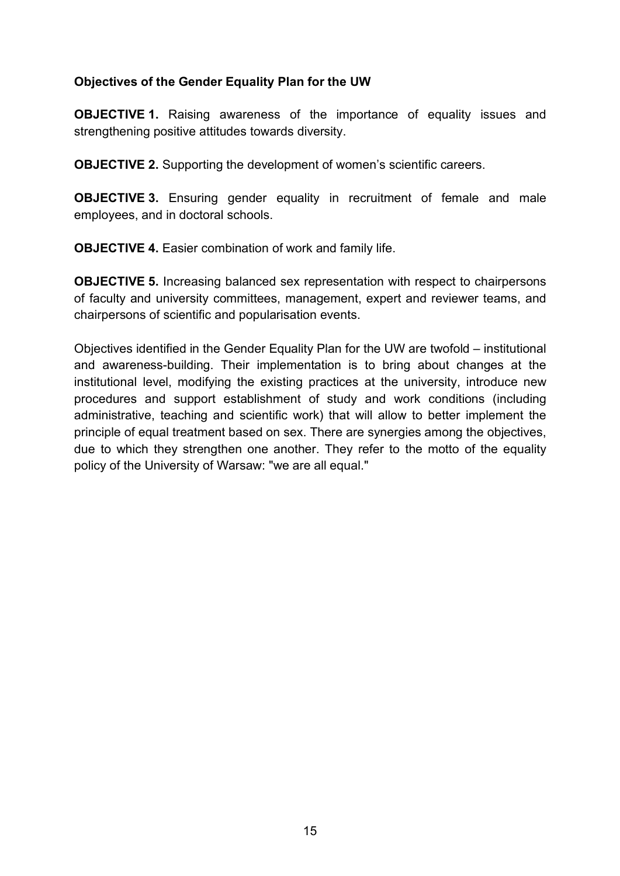### **Objectives of the Gender Equality Plan for the UW**

**OBJECTIVE 1.** Raising awareness of the importance of equality issues and strengthening positive attitudes towards diversity.

**OBJECTIVE 2.** Supporting the development of women's scientific careers.

**OBJECTIVE 3.** Ensuring gender equality in recruitment of female and male employees, and in doctoral schools.

**OBJECTIVE 4.** Easier combination of work and family life.

**OBJECTIVE 5.** Increasing balanced sex representation with respect to chairpersons of faculty and university committees, management, expert and reviewer teams, and chairpersons of scientific and popularisation events.

Objectives identified in the Gender Equality Plan for the UW are twofold – institutional and awareness-building. Their implementation is to bring about changes at the institutional level, modifying the existing practices at the university, introduce new procedures and support establishment of study and work conditions (including administrative, teaching and scientific work) that will allow to better implement the principle of equal treatment based on sex. There are synergies among the objectives, due to which they strengthen one another. They refer to the motto of the equality policy of the University of Warsaw: "we are all equal."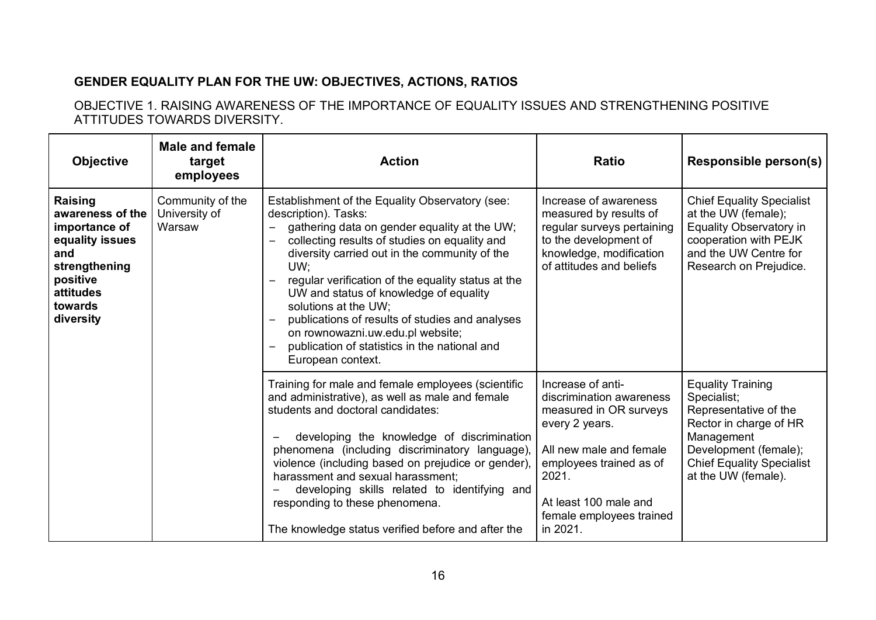# **GENDER EQUALITY PLAN FOR THE UW: OBJECTIVES, ACTIONS, RATIOS**

OBJECTIVE 1. RAISING AWARENESS OF THE IMPORTANCE OF EQUALITY ISSUES AND STRENGTHENING POSITIVE ATTITUDES TOWARDS DIVERSITY.

| <b>Objective</b>                                                                                                                                | <b>Male and female</b><br>target<br>employees | <b>Action</b>                                                                                                                                                                                                                                                                                                                                                                                                                                                                                                                                                                 | <b>Ratio</b>                                                                                                                                                                                                              | <b>Responsible person(s)</b>                                                                                                                                                                 |
|-------------------------------------------------------------------------------------------------------------------------------------------------|-----------------------------------------------|-------------------------------------------------------------------------------------------------------------------------------------------------------------------------------------------------------------------------------------------------------------------------------------------------------------------------------------------------------------------------------------------------------------------------------------------------------------------------------------------------------------------------------------------------------------------------------|---------------------------------------------------------------------------------------------------------------------------------------------------------------------------------------------------------------------------|----------------------------------------------------------------------------------------------------------------------------------------------------------------------------------------------|
| <b>Raising</b><br>awareness of the<br>importance of<br>equality issues<br>and<br>strengthening<br>positive<br>attitudes<br>towards<br>diversity | Community of the<br>University of<br>Warsaw   | Establishment of the Equality Observatory (see:<br>description). Tasks:<br>gathering data on gender equality at the UW;<br>$\overline{\phantom{0}}$<br>collecting results of studies on equality and<br>diversity carried out in the community of the<br>UW:<br>regular verification of the equality status at the<br>UW and status of knowledge of equality<br>solutions at the UW;<br>publications of results of studies and analyses<br>$\overline{\phantom{a}}$<br>on rownowazni.uw.edu.pl website;<br>publication of statistics in the national and<br>European context. | Increase of awareness<br>measured by results of<br>regular surveys pertaining<br>to the development of<br>knowledge, modification<br>of attitudes and beliefs                                                             | <b>Chief Equality Specialist</b><br>at the UW (female);<br>Equality Observatory in<br>cooperation with PEJK<br>and the UW Centre for<br>Research on Prejudice.                               |
|                                                                                                                                                 |                                               | Training for male and female employees (scientific<br>and administrative), as well as male and female<br>students and doctoral candidates:<br>developing the knowledge of discrimination<br>phenomena (including discriminatory language),<br>violence (including based on prejudice or gender),<br>harassment and sexual harassment;<br>developing skills related to identifying and<br>responding to these phenomena.<br>The knowledge status verified before and after the                                                                                                 | Increase of anti-<br>discrimination awareness<br>measured in OR surveys<br>every 2 years.<br>All new male and female<br>employees trained as of<br>2021.<br>At least 100 male and<br>female employees trained<br>in 2021. | <b>Equality Training</b><br>Specialist;<br>Representative of the<br>Rector in charge of HR<br>Management<br>Development (female);<br><b>Chief Equality Specialist</b><br>at the UW (female). |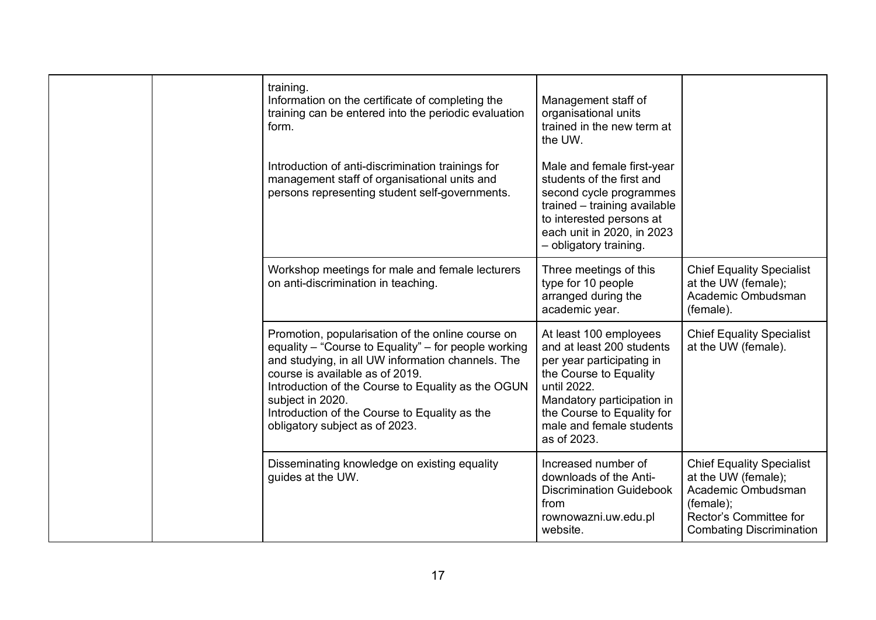|  | training.<br>Information on the certificate of completing the<br>training can be entered into the periodic evaluation<br>form.<br>Introduction of anti-discrimination trainings for<br>management staff of organisational units and<br>persons representing student self-governments.                                                                          | Management staff of<br>organisational units<br>trained in the new term at<br>the UW.<br>Male and female first-year<br>students of the first and<br>second cycle programmes<br>trained - training available<br>to interested persons at<br>each unit in 2020, in 2023<br>- obligatory training. |                                                                                                                                                         |
|--|----------------------------------------------------------------------------------------------------------------------------------------------------------------------------------------------------------------------------------------------------------------------------------------------------------------------------------------------------------------|------------------------------------------------------------------------------------------------------------------------------------------------------------------------------------------------------------------------------------------------------------------------------------------------|---------------------------------------------------------------------------------------------------------------------------------------------------------|
|  | Workshop meetings for male and female lecturers<br>on anti-discrimination in teaching.                                                                                                                                                                                                                                                                         | Three meetings of this<br>type for 10 people<br>arranged during the<br>academic year.                                                                                                                                                                                                          | <b>Chief Equality Specialist</b><br>at the UW (female);<br>Academic Ombudsman<br>(female).                                                              |
|  | Promotion, popularisation of the online course on<br>equality - "Course to Equality" - for people working<br>and studying, in all UW information channels. The<br>course is available as of 2019.<br>Introduction of the Course to Equality as the OGUN<br>subject in 2020.<br>Introduction of the Course to Equality as the<br>obligatory subject as of 2023. | At least 100 employees<br>and at least 200 students<br>per year participating in<br>the Course to Equality<br>until 2022.<br>Mandatory participation in<br>the Course to Equality for<br>male and female students<br>as of 2023.                                                               | <b>Chief Equality Specialist</b><br>at the UW (female).                                                                                                 |
|  | Disseminating knowledge on existing equality<br>guides at the UW.                                                                                                                                                                                                                                                                                              | Increased number of<br>downloads of the Anti-<br><b>Discrimination Guidebook</b><br>from<br>rownowazni.uw.edu.pl<br>website.                                                                                                                                                                   | <b>Chief Equality Specialist</b><br>at the UW (female);<br>Academic Ombudsman<br>(female);<br>Rector's Committee for<br><b>Combating Discrimination</b> |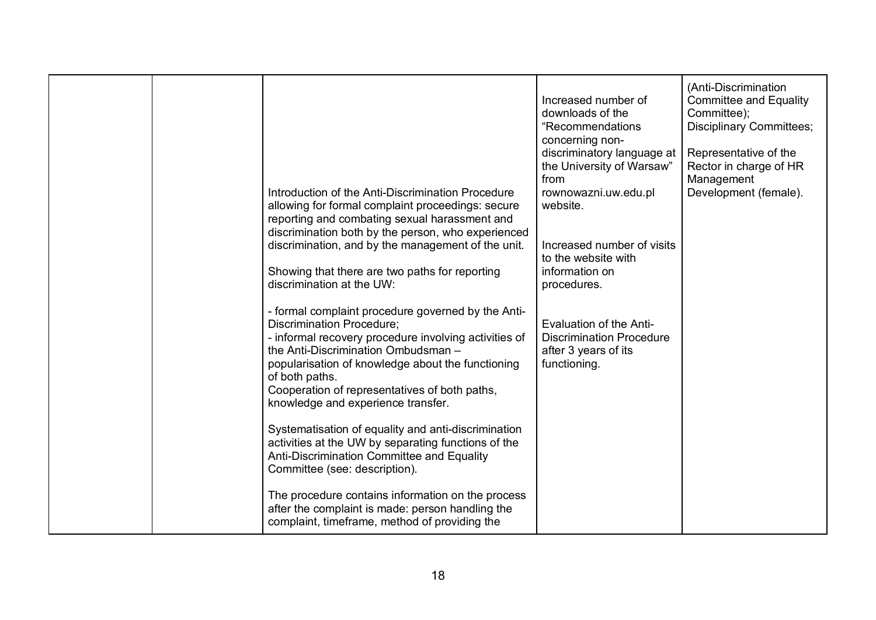| of both paths.<br>Cooperation of representatives of both paths,<br>knowledge and experience transfer.<br>Systematisation of equality and anti-discrimination<br>activities at the UW by separating functions of the<br>Anti-Discrimination Committee and Equality<br>Committee (see: description).<br>The procedure contains information on the process<br>after the complaint is made: person handling the<br>complaint, timeframe, method of providing the |  | Introduction of the Anti-Discrimination Procedure<br>allowing for formal complaint proceedings: secure<br>reporting and combating sexual harassment and<br>discrimination both by the person, who experienced<br>discrimination, and by the management of the unit.<br>Showing that there are two paths for reporting<br>discrimination at the UW:<br>- formal complaint procedure governed by the Anti-<br><b>Discrimination Procedure;</b><br>- informal recovery procedure involving activities of<br>the Anti-Discrimination Ombudsman -<br>popularisation of knowledge about the functioning | Increased number of<br>downloads of the<br>"Recommendations<br>concerning non-<br>discriminatory language at<br>the University of Warsaw"<br>from<br>rownowazni.uw.edu.pl<br>website.<br>Increased number of visits<br>to the website with<br>information on<br>procedures.<br>Evaluation of the Anti-<br><b>Discrimination Procedure</b><br>after 3 years of its<br>functioning. | <b>Committee and Equality</b><br>Committee);<br><b>Disciplinary Committees;</b><br>Representative of the<br>Rector in charge of HR<br>Management<br>Development (female). |
|--------------------------------------------------------------------------------------------------------------------------------------------------------------------------------------------------------------------------------------------------------------------------------------------------------------------------------------------------------------------------------------------------------------------------------------------------------------|--|---------------------------------------------------------------------------------------------------------------------------------------------------------------------------------------------------------------------------------------------------------------------------------------------------------------------------------------------------------------------------------------------------------------------------------------------------------------------------------------------------------------------------------------------------------------------------------------------------|-----------------------------------------------------------------------------------------------------------------------------------------------------------------------------------------------------------------------------------------------------------------------------------------------------------------------------------------------------------------------------------|---------------------------------------------------------------------------------------------------------------------------------------------------------------------------|
|--------------------------------------------------------------------------------------------------------------------------------------------------------------------------------------------------------------------------------------------------------------------------------------------------------------------------------------------------------------------------------------------------------------------------------------------------------------|--|---------------------------------------------------------------------------------------------------------------------------------------------------------------------------------------------------------------------------------------------------------------------------------------------------------------------------------------------------------------------------------------------------------------------------------------------------------------------------------------------------------------------------------------------------------------------------------------------------|-----------------------------------------------------------------------------------------------------------------------------------------------------------------------------------------------------------------------------------------------------------------------------------------------------------------------------------------------------------------------------------|---------------------------------------------------------------------------------------------------------------------------------------------------------------------------|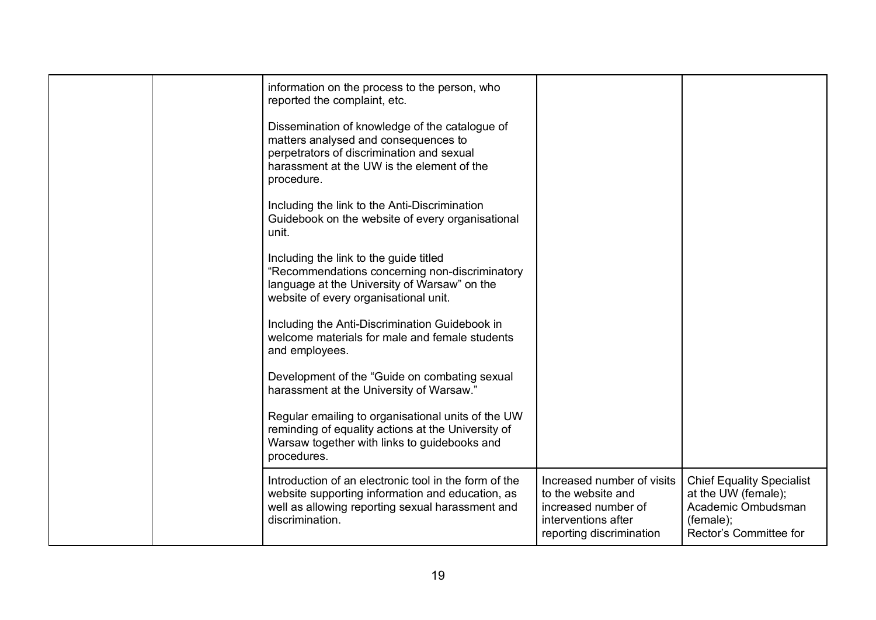|  | information on the process to the person, who<br>reported the complaint, etc.                                                                                                                   |                                                                                                                            |                                                                                                                      |
|--|-------------------------------------------------------------------------------------------------------------------------------------------------------------------------------------------------|----------------------------------------------------------------------------------------------------------------------------|----------------------------------------------------------------------------------------------------------------------|
|  | Dissemination of knowledge of the catalogue of<br>matters analysed and consequences to<br>perpetrators of discrimination and sexual<br>harassment at the UW is the element of the<br>procedure. |                                                                                                                            |                                                                                                                      |
|  | Including the link to the Anti-Discrimination<br>Guidebook on the website of every organisational<br>unit.                                                                                      |                                                                                                                            |                                                                                                                      |
|  | Including the link to the guide titled<br>"Recommendations concerning non-discriminatory<br>language at the University of Warsaw" on the<br>website of every organisational unit.               |                                                                                                                            |                                                                                                                      |
|  | Including the Anti-Discrimination Guidebook in<br>welcome materials for male and female students<br>and employees.                                                                              |                                                                                                                            |                                                                                                                      |
|  | Development of the "Guide on combating sexual<br>harassment at the University of Warsaw."                                                                                                       |                                                                                                                            |                                                                                                                      |
|  | Regular emailing to organisational units of the UW<br>reminding of equality actions at the University of<br>Warsaw together with links to guidebooks and<br>procedures.                         |                                                                                                                            |                                                                                                                      |
|  | Introduction of an electronic tool in the form of the<br>website supporting information and education, as<br>well as allowing reporting sexual harassment and<br>discrimination.                | Increased number of visits<br>to the website and<br>increased number of<br>interventions after<br>reporting discrimination | <b>Chief Equality Specialist</b><br>at the UW (female);<br>Academic Ombudsman<br>(female);<br>Rector's Committee for |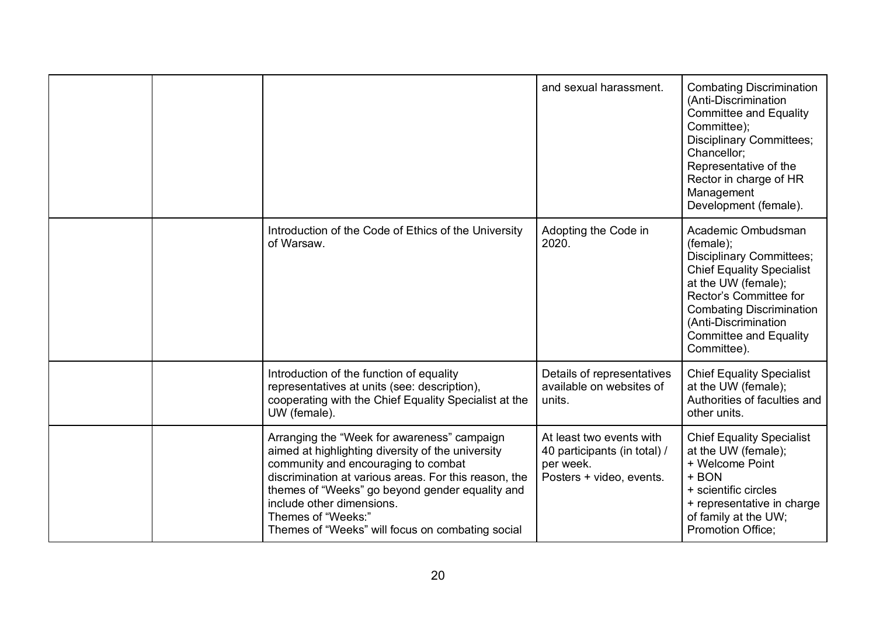|  |                                                                                                                                                                                                                                                                                                                                                            | and sexual harassment.                                                                            | <b>Combating Discrimination</b><br>(Anti-Discrimination<br><b>Committee and Equality</b><br>Committee);<br><b>Disciplinary Committees;</b><br>Chancellor;<br>Representative of the<br>Rector in charge of HR<br>Management<br>Development (female).                |
|--|------------------------------------------------------------------------------------------------------------------------------------------------------------------------------------------------------------------------------------------------------------------------------------------------------------------------------------------------------------|---------------------------------------------------------------------------------------------------|--------------------------------------------------------------------------------------------------------------------------------------------------------------------------------------------------------------------------------------------------------------------|
|  | Introduction of the Code of Ethics of the University<br>of Warsaw.                                                                                                                                                                                                                                                                                         | Adopting the Code in<br>2020.                                                                     | Academic Ombudsman<br>(female);<br><b>Disciplinary Committees;</b><br><b>Chief Equality Specialist</b><br>at the UW (female);<br>Rector's Committee for<br><b>Combating Discrimination</b><br>(Anti-Discrimination<br><b>Committee and Equality</b><br>Committee). |
|  | Introduction of the function of equality<br>representatives at units (see: description),<br>cooperating with the Chief Equality Specialist at the<br>UW (female).                                                                                                                                                                                          | Details of representatives<br>available on websites of<br>units.                                  | <b>Chief Equality Specialist</b><br>at the UW (female);<br>Authorities of faculties and<br>other units.                                                                                                                                                            |
|  | Arranging the "Week for awareness" campaign<br>aimed at highlighting diversity of the university<br>community and encouraging to combat<br>discrimination at various areas. For this reason, the<br>themes of "Weeks" go beyond gender equality and<br>include other dimensions.<br>Themes of "Weeks:"<br>Themes of "Weeks" will focus on combating social | At least two events with<br>40 participants (in total) /<br>per week.<br>Posters + video, events. | <b>Chief Equality Specialist</b><br>at the UW (female);<br>+ Welcome Point<br>+ BON<br>+ scientific circles<br>+ representative in charge<br>of family at the UW;<br><b>Promotion Office;</b>                                                                      |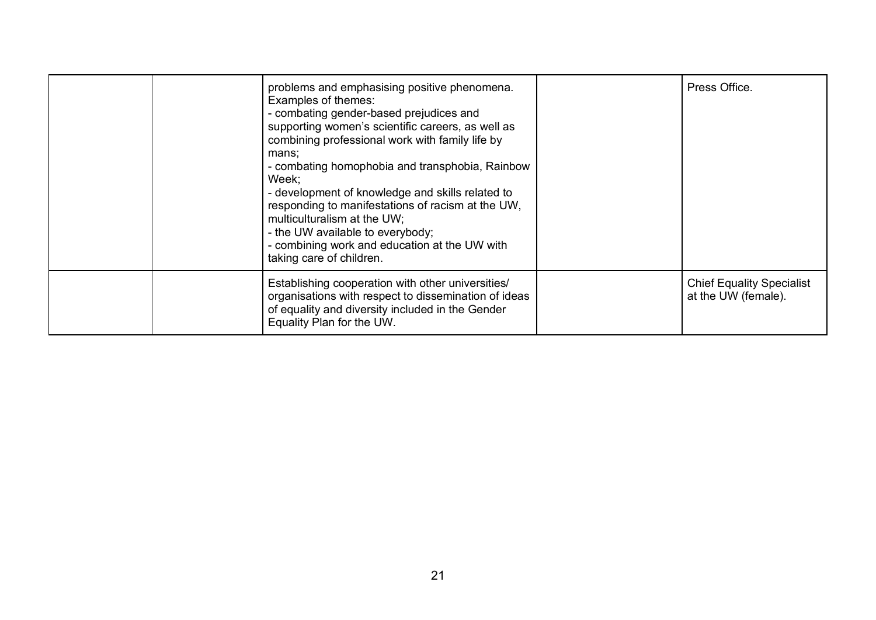|  | problems and emphasising positive phenomena.<br>Examples of themes:<br>- combating gender-based prejudices and<br>supporting women's scientific careers, as well as<br>combining professional work with family life by<br>mans:<br>- combating homophobia and transphobia, Rainbow<br>Week:<br>- development of knowledge and skills related to<br>responding to manifestations of racism at the UW,<br>multiculturalism at the UW;<br>- the UW available to everybody;<br>- combining work and education at the UW with<br>taking care of children. | Press Office.                                           |
|--|------------------------------------------------------------------------------------------------------------------------------------------------------------------------------------------------------------------------------------------------------------------------------------------------------------------------------------------------------------------------------------------------------------------------------------------------------------------------------------------------------------------------------------------------------|---------------------------------------------------------|
|  | Establishing cooperation with other universities/<br>organisations with respect to dissemination of ideas<br>of equality and diversity included in the Gender<br>Equality Plan for the UW.                                                                                                                                                                                                                                                                                                                                                           | <b>Chief Equality Specialist</b><br>at the UW (female). |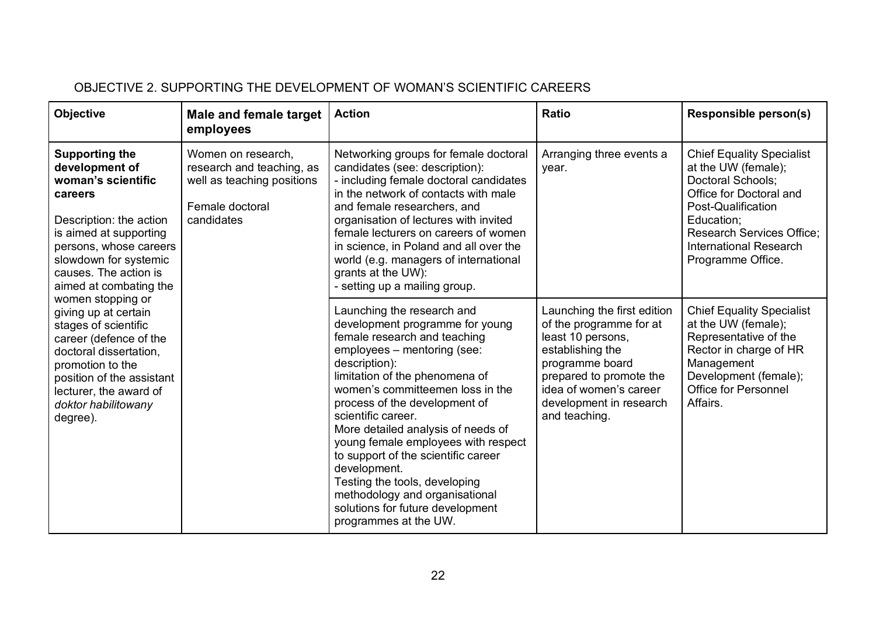# OBJECTIVE 2. SUPPORTING THE DEVELOPMENT OF WOMAN'S SCIENTIFIC CAREERS

| <b>Objective</b>                                                                                                                                                                                                                                         | <b>Male and female target</b><br>employees                                                                     | <b>Action</b>                                                                                                                                                                                                                                                                                                                                                                                                                                                                                                                                  | <b>Ratio</b>                                                                                                                                                                                                        | <b>Responsible person(s)</b>                                                                                                                                                                                                          |
|----------------------------------------------------------------------------------------------------------------------------------------------------------------------------------------------------------------------------------------------------------|----------------------------------------------------------------------------------------------------------------|------------------------------------------------------------------------------------------------------------------------------------------------------------------------------------------------------------------------------------------------------------------------------------------------------------------------------------------------------------------------------------------------------------------------------------------------------------------------------------------------------------------------------------------------|---------------------------------------------------------------------------------------------------------------------------------------------------------------------------------------------------------------------|---------------------------------------------------------------------------------------------------------------------------------------------------------------------------------------------------------------------------------------|
| <b>Supporting the</b><br>development of<br>woman's scientific<br>careers<br>Description: the action<br>is aimed at supporting<br>persons, whose careers<br>slowdown for systemic<br>causes. The action is<br>aimed at combating the<br>women stopping or | Women on research,<br>research and teaching, as<br>well as teaching positions<br>Female doctoral<br>candidates | Networking groups for female doctoral<br>candidates (see: description):<br>- including female doctoral candidates<br>in the network of contacts with male<br>and female researchers, and<br>organisation of lectures with invited<br>female lecturers on careers of women<br>in science, in Poland and all over the<br>world (e.g. managers of international<br>grants at the UW):<br>- setting up a mailing group.                                                                                                                            | Arranging three events a<br>year.                                                                                                                                                                                   | <b>Chief Equality Specialist</b><br>at the UW (female);<br>Doctoral Schools;<br>Office for Doctoral and<br>Post-Qualification<br>Education;<br><b>Research Services Office;</b><br><b>International Research</b><br>Programme Office. |
| giving up at certain<br>stages of scientific<br>career (defence of the<br>doctoral dissertation,<br>promotion to the<br>position of the assistant<br>lecturer, the award of<br>doktor habilitowany<br>degree).                                           |                                                                                                                | Launching the research and<br>development programme for young<br>female research and teaching<br>employees - mentoring (see:<br>description):<br>limitation of the phenomena of<br>women's committeemen loss in the<br>process of the development of<br>scientific career.<br>More detailed analysis of needs of<br>young female employees with respect<br>to support of the scientific career<br>development.<br>Testing the tools, developing<br>methodology and organisational<br>solutions for future development<br>programmes at the UW. | Launching the first edition<br>of the programme for at<br>least 10 persons,<br>establishing the<br>programme board<br>prepared to promote the<br>idea of women's career<br>development in research<br>and teaching. | <b>Chief Equality Specialist</b><br>at the UW (female);<br>Representative of the<br>Rector in charge of HR<br>Management<br>Development (female);<br><b>Office for Personnel</b><br>Affairs.                                          |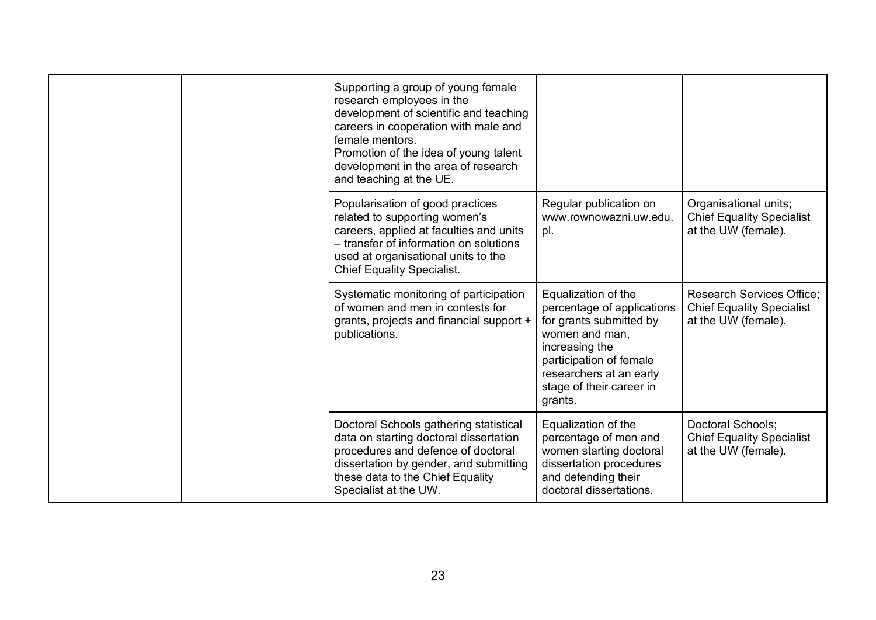|  | Supporting a group of young female<br>research employees in the<br>development of scientific and teaching<br>careers in cooperation with male and<br>female mentors.<br>Promotion of the idea of young talent<br>development in the area of research<br>and teaching at the UE. |                                                                                                                                                                                                               |                                                                                             |
|--|---------------------------------------------------------------------------------------------------------------------------------------------------------------------------------------------------------------------------------------------------------------------------------|---------------------------------------------------------------------------------------------------------------------------------------------------------------------------------------------------------------|---------------------------------------------------------------------------------------------|
|  | Popularisation of good practices<br>related to supporting women's<br>careers, applied at faculties and units<br>- transfer of information on solutions<br>used at organisational units to the<br><b>Chief Equality Specialist.</b>                                              | Regular publication on<br>www.rownowazni.uw.edu.<br>pl.                                                                                                                                                       | Organisational units;<br><b>Chief Equality Specialist</b><br>at the UW (female).            |
|  | Systematic monitoring of participation<br>of women and men in contests for<br>grants, projects and financial support +<br>publications.                                                                                                                                         | Equalization of the<br>percentage of applications<br>for grants submitted by<br>women and man,<br>increasing the<br>participation of female<br>researchers at an early<br>stage of their career in<br>grants. | <b>Research Services Office;</b><br><b>Chief Equality Specialist</b><br>at the UW (female). |
|  | Doctoral Schools gathering statistical<br>data on starting doctoral dissertation<br>procedures and defence of doctoral<br>dissertation by gender, and submitting<br>these data to the Chief Equality<br>Specialist at the UW.                                                   | Equalization of the<br>percentage of men and<br>women starting doctoral<br>dissertation procedures<br>and defending their<br>doctoral dissertations.                                                          | <b>Doctoral Schools:</b><br><b>Chief Equality Specialist</b><br>at the UW (female).         |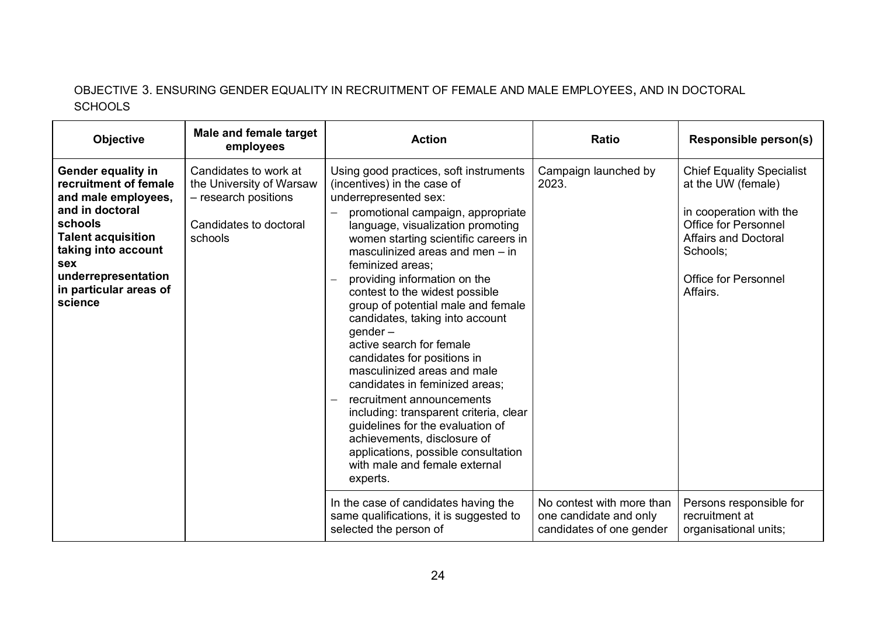# OBJECTIVE 3. ENSURING GENDER EQUALITY IN RECRUITMENT OF FEMALE AND MALE EMPLOYEES, AND IN DOCTORAL **SCHOOLS**

| <b>Objective</b>                                                                                                                                                                                                               | Male and female target<br>employees                                                                            | <b>Action</b>                                                                                                                                                                                                                                                                                                                                                                                                                                                                                                                                                                                                                                                                                                                                                                                                                        | <b>Ratio</b>                                               | <b>Responsible person(s)</b>                                                                                                                                                                                                      |
|--------------------------------------------------------------------------------------------------------------------------------------------------------------------------------------------------------------------------------|----------------------------------------------------------------------------------------------------------------|--------------------------------------------------------------------------------------------------------------------------------------------------------------------------------------------------------------------------------------------------------------------------------------------------------------------------------------------------------------------------------------------------------------------------------------------------------------------------------------------------------------------------------------------------------------------------------------------------------------------------------------------------------------------------------------------------------------------------------------------------------------------------------------------------------------------------------------|------------------------------------------------------------|-----------------------------------------------------------------------------------------------------------------------------------------------------------------------------------------------------------------------------------|
| <b>Gender equality in</b><br>recruitment of female<br>and male employees,<br>and in doctoral<br>schools<br><b>Talent acquisition</b><br>taking into account<br>sex<br>underrepresentation<br>in particular areas of<br>science | Candidates to work at<br>the University of Warsaw<br>- research positions<br>Candidates to doctoral<br>schools | Using good practices, soft instruments<br>(incentives) in the case of<br>underrepresented sex:<br>promotional campaign, appropriate<br>language, visualization promoting<br>women starting scientific careers in<br>masculinized areas and men $-$ in<br>feminized areas:<br>providing information on the<br>contest to the widest possible<br>group of potential male and female<br>candidates, taking into account<br>gender $-$<br>active search for female<br>candidates for positions in<br>masculinized areas and male<br>candidates in feminized areas;<br>recruitment announcements<br>including: transparent criteria, clear<br>guidelines for the evaluation of<br>achievements, disclosure of<br>applications, possible consultation<br>with male and female external<br>experts.<br>In the case of candidates having the | Campaign launched by<br>2023.<br>No contest with more than | <b>Chief Equality Specialist</b><br>at the UW (female)<br>in cooperation with the<br><b>Office for Personnel</b><br><b>Affairs and Doctoral</b><br>Schools:<br><b>Office for Personnel</b><br>Affairs.<br>Persons responsible for |
|                                                                                                                                                                                                                                |                                                                                                                | same qualifications, it is suggested to<br>selected the person of                                                                                                                                                                                                                                                                                                                                                                                                                                                                                                                                                                                                                                                                                                                                                                    | one candidate and only<br>candidates of one gender         | recruitment at<br>organisational units;                                                                                                                                                                                           |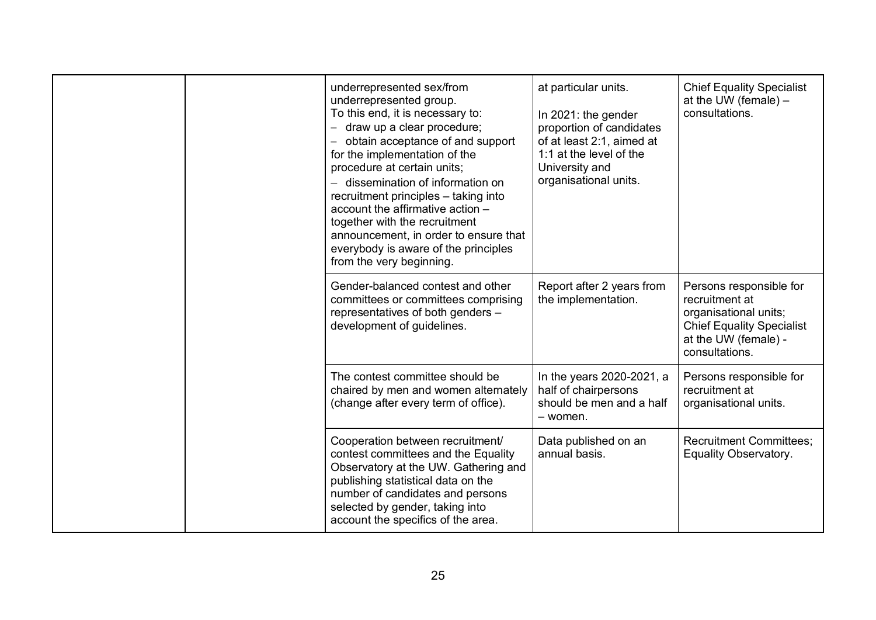|  | underrepresented sex/from<br>underrepresented group.<br>To this end, it is necessary to:<br>draw up a clear procedure;<br>obtain acceptance of and support<br>for the implementation of the<br>procedure at certain units;<br>- dissemination of information on<br>recruitment principles - taking into<br>account the affirmative action -<br>together with the recruitment<br>announcement, in order to ensure that<br>everybody is aware of the principles<br>from the very beginning. | at particular units.<br>In 2021: the gender<br>proportion of candidates<br>of at least 2:1, aimed at<br>1:1 at the level of the<br>University and<br>organisational units. | <b>Chief Equality Specialist</b><br>at the UW (female) $-$<br>consultations.                                                                     |
|--|-------------------------------------------------------------------------------------------------------------------------------------------------------------------------------------------------------------------------------------------------------------------------------------------------------------------------------------------------------------------------------------------------------------------------------------------------------------------------------------------|----------------------------------------------------------------------------------------------------------------------------------------------------------------------------|--------------------------------------------------------------------------------------------------------------------------------------------------|
|  | Gender-balanced contest and other<br>committees or committees comprising<br>representatives of both genders -<br>development of guidelines.                                                                                                                                                                                                                                                                                                                                               | Report after 2 years from<br>the implementation.                                                                                                                           | Persons responsible for<br>recruitment at<br>organisational units;<br><b>Chief Equality Specialist</b><br>at the UW (female) -<br>consultations. |
|  | The contest committee should be<br>chaired by men and women alternately<br>(change after every term of office).                                                                                                                                                                                                                                                                                                                                                                           | In the years 2020-2021, a<br>half of chairpersons<br>should be men and a half<br>- women.                                                                                  | Persons responsible for<br>recruitment at<br>organisational units.                                                                               |
|  | Cooperation between recruitment/<br>contest committees and the Equality<br>Observatory at the UW. Gathering and<br>publishing statistical data on the<br>number of candidates and persons<br>selected by gender, taking into<br>account the specifics of the area.                                                                                                                                                                                                                        | Data published on an<br>annual basis.                                                                                                                                      | <b>Recruitment Committees;</b><br>Equality Observatory.                                                                                          |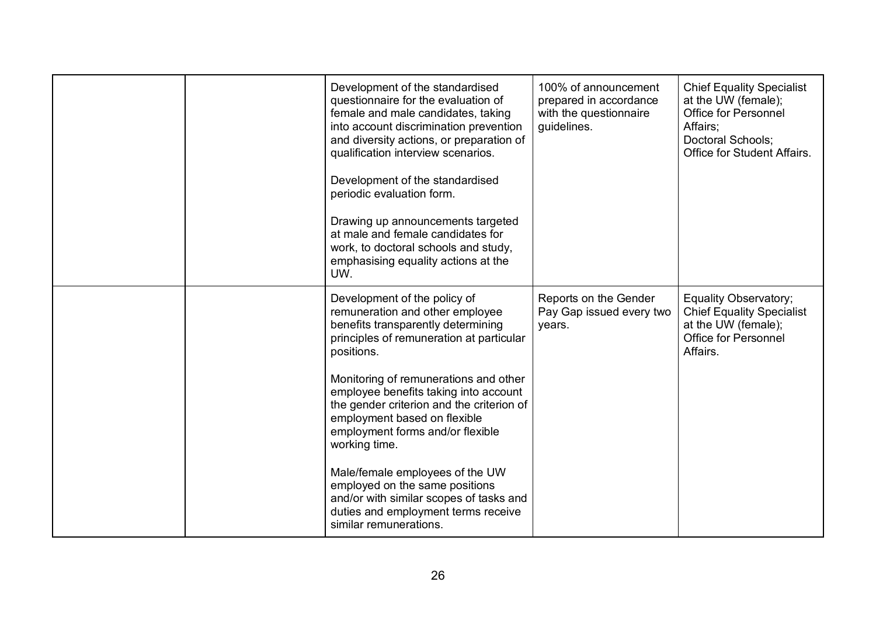|  | Development of the standardised<br>questionnaire for the evaluation of<br>female and male candidates, taking<br>into account discrimination prevention<br>and diversity actions, or preparation of<br>qualification interview scenarios.<br>Development of the standardised<br>periodic evaluation form.<br>Drawing up announcements targeted<br>at male and female candidates for<br>work, to doctoral schools and study,<br>emphasising equality actions at the<br>UW.                                                                                             | 100% of announcement<br>prepared in accordance<br>with the questionnaire<br>guidelines. | <b>Chief Equality Specialist</b><br>at the UW (female);<br><b>Office for Personnel</b><br>Affairs;<br>Doctoral Schools;<br>Office for Student Affairs. |
|--|----------------------------------------------------------------------------------------------------------------------------------------------------------------------------------------------------------------------------------------------------------------------------------------------------------------------------------------------------------------------------------------------------------------------------------------------------------------------------------------------------------------------------------------------------------------------|-----------------------------------------------------------------------------------------|--------------------------------------------------------------------------------------------------------------------------------------------------------|
|  | Development of the policy of<br>remuneration and other employee<br>benefits transparently determining<br>principles of remuneration at particular<br>positions.<br>Monitoring of remunerations and other<br>employee benefits taking into account<br>the gender criterion and the criterion of<br>employment based on flexible<br>employment forms and/or flexible<br>working time.<br>Male/female employees of the UW<br>employed on the same positions<br>and/or with similar scopes of tasks and<br>duties and employment terms receive<br>similar remunerations. | Reports on the Gender<br>Pay Gap issued every two<br>years.                             | Equality Observatory;<br><b>Chief Equality Specialist</b><br>at the UW (female);<br><b>Office for Personnel</b><br>Affairs.                            |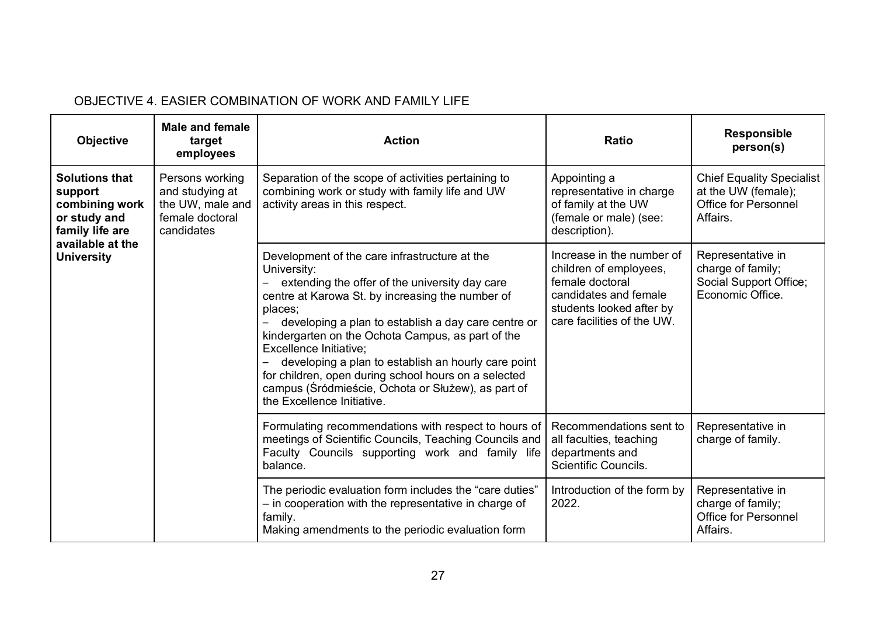| <b>Objective</b>                                                                                                                                                                 | <b>Male and female</b><br>target<br>employees | <b>Action</b>                                                                                                                                                                                                                                                                                                                                                                                                                                                                                                                 | <b>Ratio</b>                                                                                                                                              | <b>Responsible</b><br>person(s)                                                             |
|----------------------------------------------------------------------------------------------------------------------------------------------------------------------------------|-----------------------------------------------|-------------------------------------------------------------------------------------------------------------------------------------------------------------------------------------------------------------------------------------------------------------------------------------------------------------------------------------------------------------------------------------------------------------------------------------------------------------------------------------------------------------------------------|-----------------------------------------------------------------------------------------------------------------------------------------------------------|---------------------------------------------------------------------------------------------|
| <b>Solutions that</b><br>Persons working<br>and studying at<br>support<br>the UW, male and<br>combining work<br>female doctoral<br>or study and<br>family life are<br>candidates |                                               | Separation of the scope of activities pertaining to<br>combining work or study with family life and UW<br>activity areas in this respect.                                                                                                                                                                                                                                                                                                                                                                                     | Appointing a<br>representative in charge<br>of family at the UW<br>(female or male) (see:<br>description).                                                | <b>Chief Equality Specialist</b><br>at the UW (female);<br>Office for Personnel<br>Affairs. |
| available at the<br><b>University</b>                                                                                                                                            |                                               | Development of the care infrastructure at the<br>University:<br>extending the offer of the university day care<br>centre at Karowa St. by increasing the number of<br>places;<br>developing a plan to establish a day care centre or<br>kindergarten on the Ochota Campus, as part of the<br><b>Excellence Initiative:</b><br>developing a plan to establish an hourly care point<br>for children, open during school hours on a selected<br>campus (Śródmieście, Ochota or Służew), as part of<br>the Excellence Initiative. | Increase in the number of<br>children of employees,<br>female doctoral<br>candidates and female<br>students looked after by<br>care facilities of the UW. | Representative in<br>charge of family;<br>Social Support Office;<br>Economic Office.        |
|                                                                                                                                                                                  |                                               | Formulating recommendations with respect to hours of<br>meetings of Scientific Councils, Teaching Councils and<br>Faculty Councils supporting work and family life<br>balance.                                                                                                                                                                                                                                                                                                                                                | Recommendations sent to<br>all faculties, teaching<br>departments and<br><b>Scientific Councils.</b>                                                      | Representative in<br>charge of family.                                                      |
|                                                                                                                                                                                  |                                               | The periodic evaluation form includes the "care duties"<br>- in cooperation with the representative in charge of<br>family.<br>Making amendments to the periodic evaluation form                                                                                                                                                                                                                                                                                                                                              | Introduction of the form by<br>2022.                                                                                                                      | Representative in<br>charge of family;<br><b>Office for Personnel</b><br>Affairs.           |

# OBJECTIVE 4. EASIER COMBINATION OF WORK AND FAMILY LIFE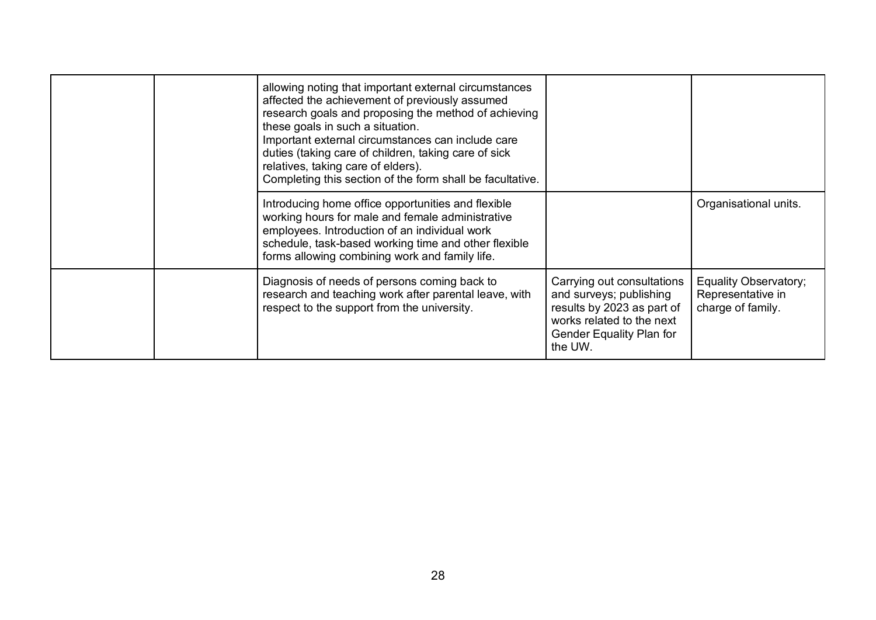|  | allowing noting that important external circumstances<br>affected the achievement of previously assumed<br>research goals and proposing the method of achieving<br>these goals in such a situation.<br>Important external circumstances can include care<br>duties (taking care of children, taking care of sick<br>relatives, taking care of elders).<br>Completing this section of the form shall be facultative. |                                                                                                                                                         |                                                                 |
|--|---------------------------------------------------------------------------------------------------------------------------------------------------------------------------------------------------------------------------------------------------------------------------------------------------------------------------------------------------------------------------------------------------------------------|---------------------------------------------------------------------------------------------------------------------------------------------------------|-----------------------------------------------------------------|
|  | Introducing home office opportunities and flexible<br>working hours for male and female administrative<br>employees. Introduction of an individual work<br>schedule, task-based working time and other flexible<br>forms allowing combining work and family life.                                                                                                                                                   |                                                                                                                                                         | Organisational units.                                           |
|  | Diagnosis of needs of persons coming back to<br>research and teaching work after parental leave, with<br>respect to the support from the university.                                                                                                                                                                                                                                                                | Carrying out consultations<br>and surveys; publishing<br>results by 2023 as part of<br>works related to the next<br>Gender Equality Plan for<br>the UW. | Equality Observatory;<br>Representative in<br>charge of family. |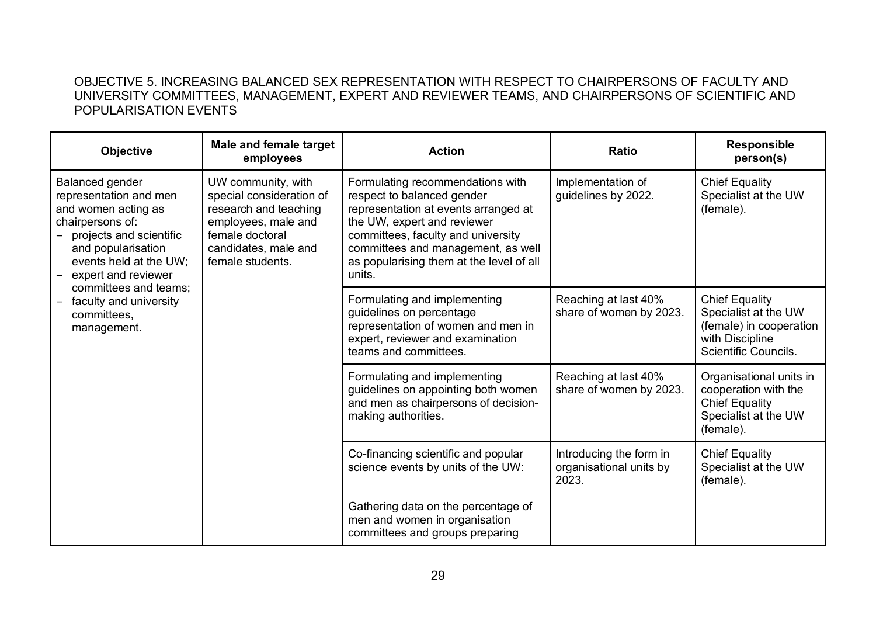### OBJECTIVE 5. INCREASING BALANCED SEX REPRESENTATION WITH RESPECT TO CHAIRPERSONS OF FACULTY AND UNIVERSITY COMMITTEES, MANAGEMENT, EXPERT AND REVIEWER TEAMS, AND CHAIRPERSONS OF SCIENTIFIC AND POPULARISATION EVENTS

| <b>Objective</b>                                                                                                                                                                                                                                                                                               | Male and female target<br>employees                                                                                    | <b>Action</b>                                                                                                                                                                                                                                                           | <b>Ratio</b>                                                | <b>Responsible</b><br>person(s)                                                                                     |
|----------------------------------------------------------------------------------------------------------------------------------------------------------------------------------------------------------------------------------------------------------------------------------------------------------------|------------------------------------------------------------------------------------------------------------------------|-------------------------------------------------------------------------------------------------------------------------------------------------------------------------------------------------------------------------------------------------------------------------|-------------------------------------------------------------|---------------------------------------------------------------------------------------------------------------------|
| Balanced gender<br>representation and men<br>and women acting as<br>chairpersons of:<br>female doctoral<br>projects and scientific<br>and popularisation<br>female students.<br>events held at the UW;<br>expert and reviewer<br>committees and teams;<br>faculty and university<br>committees.<br>management. | UW community, with<br>special consideration of<br>research and teaching<br>employees, male and<br>candidates, male and | Formulating recommendations with<br>respect to balanced gender<br>representation at events arranged at<br>the UW, expert and reviewer<br>committees, faculty and university<br>committees and management, as well<br>as popularising them at the level of all<br>units. | Implementation of<br>guidelines by 2022.                    | <b>Chief Equality</b><br>Specialist at the UW<br>(female).                                                          |
|                                                                                                                                                                                                                                                                                                                |                                                                                                                        | Formulating and implementing<br>guidelines on percentage<br>representation of women and men in<br>expert, reviewer and examination<br>teams and committees.                                                                                                             | Reaching at last 40%<br>share of women by 2023.             | <b>Chief Equality</b><br>Specialist at the UW<br>(female) in cooperation<br>with Discipline<br>Scientific Councils. |
|                                                                                                                                                                                                                                                                                                                |                                                                                                                        | Formulating and implementing<br>guidelines on appointing both women<br>and men as chairpersons of decision-<br>making authorities.                                                                                                                                      | Reaching at last 40%<br>share of women by 2023.             | Organisational units in<br>cooperation with the<br><b>Chief Equality</b><br>Specialist at the UW<br>(female).       |
|                                                                                                                                                                                                                                                                                                                |                                                                                                                        | Co-financing scientific and popular<br>science events by units of the UW:                                                                                                                                                                                               | Introducing the form in<br>organisational units by<br>2023. | <b>Chief Equality</b><br>Specialist at the UW<br>(female).                                                          |
|                                                                                                                                                                                                                                                                                                                |                                                                                                                        | Gathering data on the percentage of<br>men and women in organisation<br>committees and groups preparing                                                                                                                                                                 |                                                             |                                                                                                                     |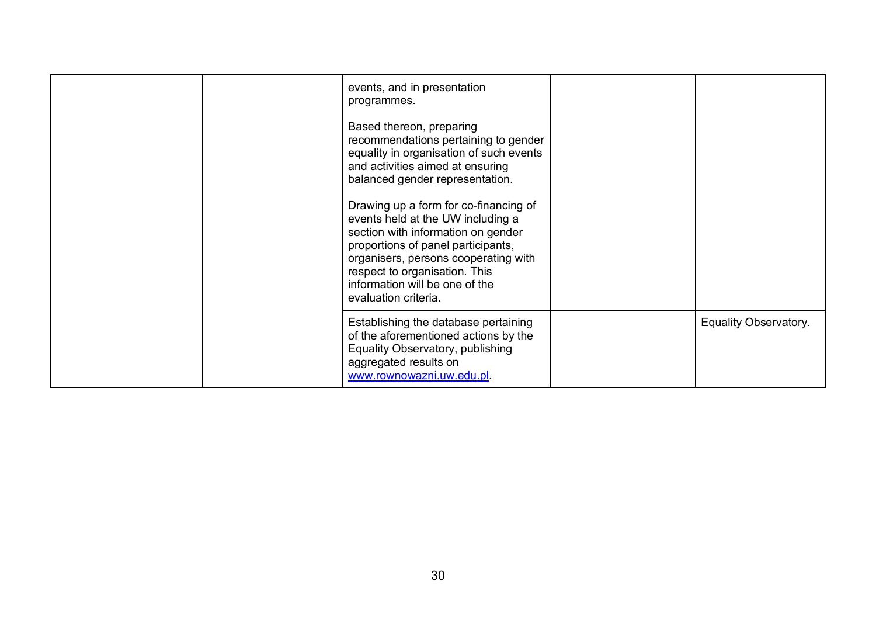| events, and in presentation<br>programmes.<br>Based thereon, preparing<br>recommendations pertaining to gender<br>equality in organisation of such events<br>and activities aimed at ensuring<br>balanced gender representation.<br>Drawing up a form for co-financing of<br>events held at the UW including a<br>section with information on gender<br>proportions of panel participants,<br>organisers, persons cooperating with<br>respect to organisation. This<br>information will be one of the<br>evaluation criteria. |                       |
|-------------------------------------------------------------------------------------------------------------------------------------------------------------------------------------------------------------------------------------------------------------------------------------------------------------------------------------------------------------------------------------------------------------------------------------------------------------------------------------------------------------------------------|-----------------------|
| Establishing the database pertaining<br>of the aforementioned actions by the<br>Equality Observatory, publishing<br>aggregated results on<br>www.rownowazni.uw.edu.pl                                                                                                                                                                                                                                                                                                                                                         | Equality Observatory. |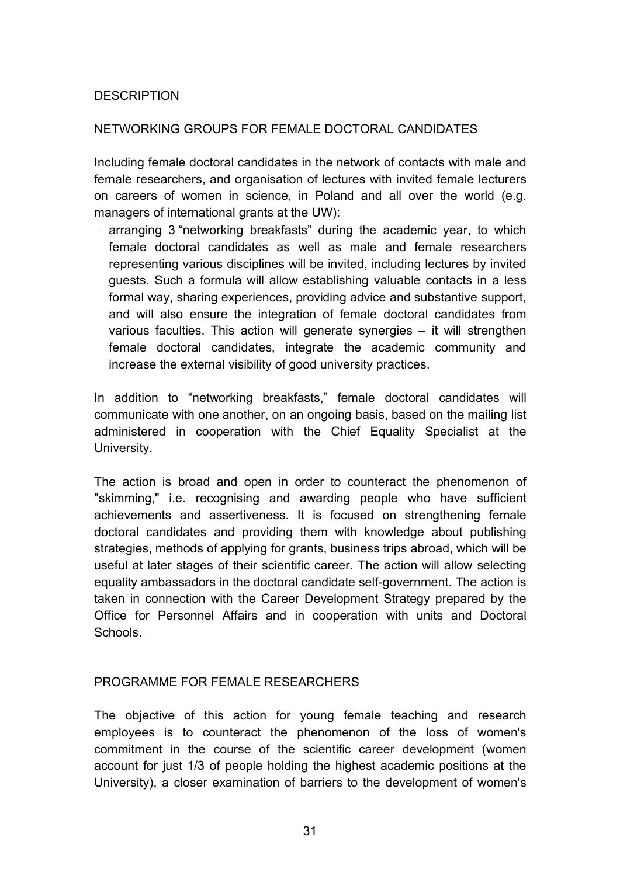### **DESCRIPTION**

### NETWORKING GROUPS FOR FEMALE DOCTORAL CANDIDATES

Including female doctoral candidates in the network of contacts with male and female researchers, and organisation of lectures with invited female lecturers on careers of women in science, in Poland and all over the world (e.g. managers of international grants at the UW):

- arranging 3 "networking breakfasts" during the academic year, to which female doctoral candidates as well as male and female researchers representing various disciplines will be invited, including lectures by invited guests. Such a formula will allow establishing valuable contacts in a less formal way, sharing experiences, providing advice and substantive support, and will also ensure the integration of female doctoral candidates from various faculties. This action will generate synergies – it will strengthen female doctoral candidates, integrate the academic community and increase the external visibility of good university practices.

In addition to "networking breakfasts," female doctoral candidates will communicate with one another, on an ongoing basis, based on the mailing list administered in cooperation with the Chief Equality Specialist at the University.

The action is broad and open in order to counteract the phenomenon of "skimming," i.e. recognising and awarding people who have sufficient achievements and assertiveness. It is focused on strengthening female doctoral candidates and providing them with knowledge about publishing strategies, methods of applying for grants, business trips abroad, which will be useful at later stages of their scientific career. The action will allow selecting equality ambassadors in the doctoral candidate self-government. The action is taken in connection with the Career Development Strategy prepared by the Office for Personnel Affairs and in cooperation with units and Doctoral **Schools** 

### PROGRAMME FOR FEMALE RESEARCHERS

The objective of this action for young female teaching and research employees is to counteract the phenomenon of the loss of women's commitment in the course of the scientific career development (women account for just 1/3 of people holding the highest academic positions at the University), a closer examination of barriers to the development of women's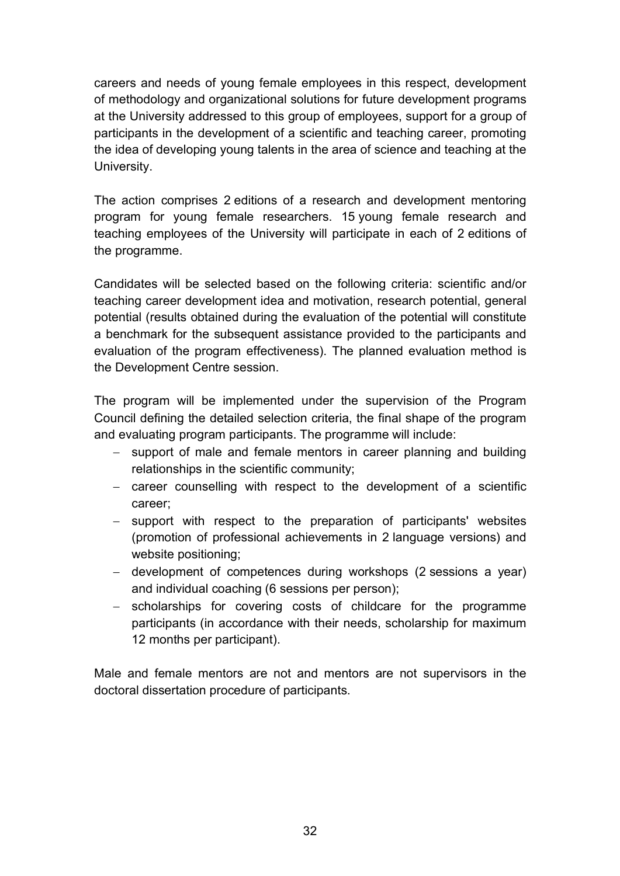careers and needs of young female employees in this respect, development of methodology and organizational solutions for future development programs at the University addressed to this group of employees, support for a group of participants in the development of a scientific and teaching career, promoting the idea of developing young talents in the area of science and teaching at the University.

The action comprises 2 editions of a research and development mentoring program for young female researchers. 15 young female research and teaching employees of the University will participate in each of 2 editions of the programme.

Candidates will be selected based on the following criteria: scientific and/or teaching career development idea and motivation, research potential, general potential (results obtained during the evaluation of the potential will constitute a benchmark for the subsequent assistance provided to the participants and evaluation of the program effectiveness). The planned evaluation method is the Development Centre session.

The program will be implemented under the supervision of the Program Council defining the detailed selection criteria, the final shape of the program and evaluating program participants. The programme will include:

- support of male and female mentors in career planning and building relationships in the scientific community;
- career counselling with respect to the development of a scientific career;
- support with respect to the preparation of participants' websites (promotion of professional achievements in 2 language versions) and website positioning;
- development of competences during workshops (2 sessions a year) and individual coaching (6 sessions per person);
- scholarships for covering costs of childcare for the programme participants (in accordance with their needs, scholarship for maximum 12 months per participant).

Male and female mentors are not and mentors are not supervisors in the doctoral dissertation procedure of participants.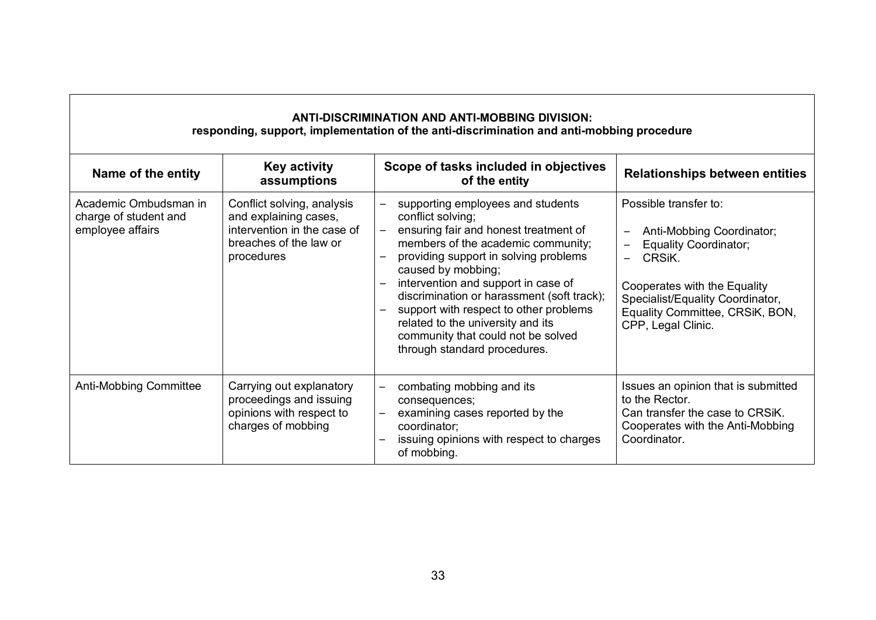| <b>ANTI-DISCRIMINATION AND ANTI-MOBBING DIVISION:</b><br>responding, support, implementation of the anti-discrimination and anti-mobbing procedure |                                                                                                                            |                                                                                                                                                                                                                                                                                                                                                                                                                                                |                                                                                                                                                                                                                           |  |  |
|----------------------------------------------------------------------------------------------------------------------------------------------------|----------------------------------------------------------------------------------------------------------------------------|------------------------------------------------------------------------------------------------------------------------------------------------------------------------------------------------------------------------------------------------------------------------------------------------------------------------------------------------------------------------------------------------------------------------------------------------|---------------------------------------------------------------------------------------------------------------------------------------------------------------------------------------------------------------------------|--|--|
| Name of the entity                                                                                                                                 | <b>Key activity</b><br>assumptions                                                                                         | Scope of tasks included in objectives<br>of the entity                                                                                                                                                                                                                                                                                                                                                                                         | <b>Relationships between entities</b>                                                                                                                                                                                     |  |  |
| Academic Ombudsman in<br>charge of student and<br>employee affairs                                                                                 | Conflict solving, analysis<br>and explaining cases,<br>intervention in the case of<br>breaches of the law or<br>procedures | supporting employees and students<br>conflict solving;<br>ensuring fair and honest treatment of<br>members of the academic community;<br>providing support in solving problems<br>caused by mobbing;<br>intervention and support in case of<br>discrimination or harassment (soft track);<br>support with respect to other problems<br>related to the university and its<br>community that could not be solved<br>through standard procedures. | Possible transfer to:<br>Anti-Mobbing Coordinator;<br><b>Equality Coordinator;</b><br>CRSIK.<br>Cooperates with the Equality<br>Specialist/Equality Coordinator,<br>Equality Committee, CRSiK, BON,<br>CPP, Legal Clinic. |  |  |
| <b>Anti-Mobbing Committee</b>                                                                                                                      | Carrying out explanatory<br>proceedings and issuing<br>opinions with respect to<br>charges of mobbing                      | combating mobbing and its<br>consequences;<br>examining cases reported by the<br>coordinator;<br>issuing opinions with respect to charges<br>of mobbing.                                                                                                                                                                                                                                                                                       | Issues an opinion that is submitted<br>to the Rector.<br>Can transfer the case to CRSiK.<br>Cooperates with the Anti-Mobbing<br>Coordinator.                                                                              |  |  |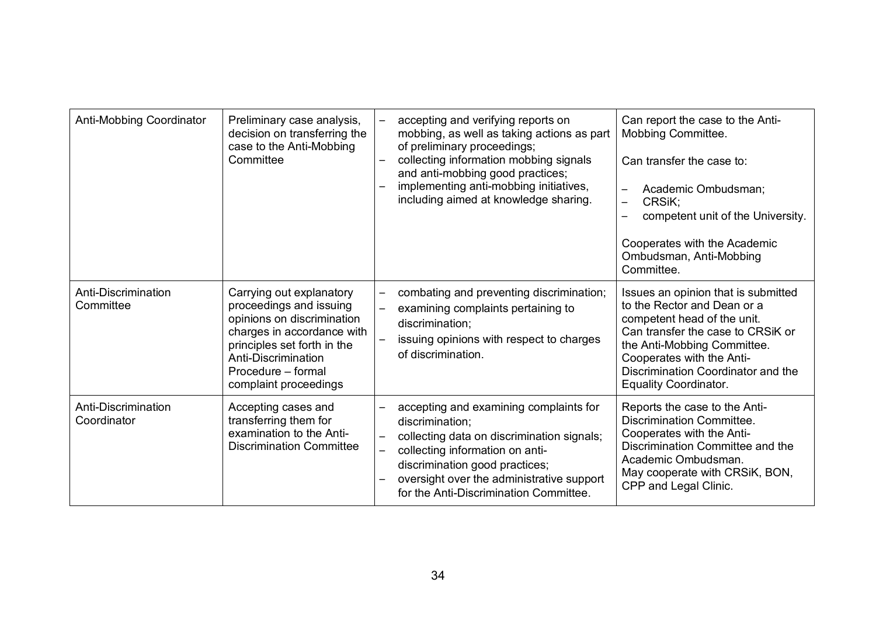| Anti-Mobbing Coordinator           | Preliminary case analysis,<br>decision on transferring the<br>case to the Anti-Mobbing<br>Committee                                                                                                                  | accepting and verifying reports on<br>mobbing, as well as taking actions as part<br>of preliminary proceedings;<br>collecting information mobbing signals<br>and anti-mobbing good practices;<br>implementing anti-mobbing initiatives,<br>including aimed at knowledge sharing. | Can report the case to the Anti-<br>Mobbing Committee.<br>Can transfer the case to:<br>Academic Ombudsman;<br>$\overline{\phantom{m}}$<br>CRSiK:<br>$\overline{\phantom{0}}$<br>competent unit of the University.<br>Cooperates with the Academic<br>Ombudsman, Anti-Mobbing<br>Committee. |
|------------------------------------|----------------------------------------------------------------------------------------------------------------------------------------------------------------------------------------------------------------------|----------------------------------------------------------------------------------------------------------------------------------------------------------------------------------------------------------------------------------------------------------------------------------|--------------------------------------------------------------------------------------------------------------------------------------------------------------------------------------------------------------------------------------------------------------------------------------------|
| Anti-Discrimination<br>Committee   | Carrying out explanatory<br>proceedings and issuing<br>opinions on discrimination<br>charges in accordance with<br>principles set forth in the<br>Anti-Discrimination<br>Procedure - formal<br>complaint proceedings | combating and preventing discrimination;<br>examining complaints pertaining to<br>discrimination;<br>issuing opinions with respect to charges<br>of discrimination.                                                                                                              | Issues an opinion that is submitted<br>to the Rector and Dean or a<br>competent head of the unit.<br>Can transfer the case to CRSiK or<br>the Anti-Mobbing Committee.<br>Cooperates with the Anti-<br>Discrimination Coordinator and the<br><b>Equality Coordinator.</b>                   |
| Anti-Discrimination<br>Coordinator | Accepting cases and<br>transferring them for<br>examination to the Anti-<br><b>Discrimination Committee</b>                                                                                                          | accepting and examining complaints for<br>discrimination:<br>collecting data on discrimination signals;<br>collecting information on anti-<br>discrimination good practices;<br>oversight over the administrative support<br>for the Anti-Discrimination Committee.              | Reports the case to the Anti-<br><b>Discrimination Committee.</b><br>Cooperates with the Anti-<br>Discrimination Committee and the<br>Academic Ombudsman.<br>May cooperate with CRSiK, BON,<br>CPP and Legal Clinic.                                                                       |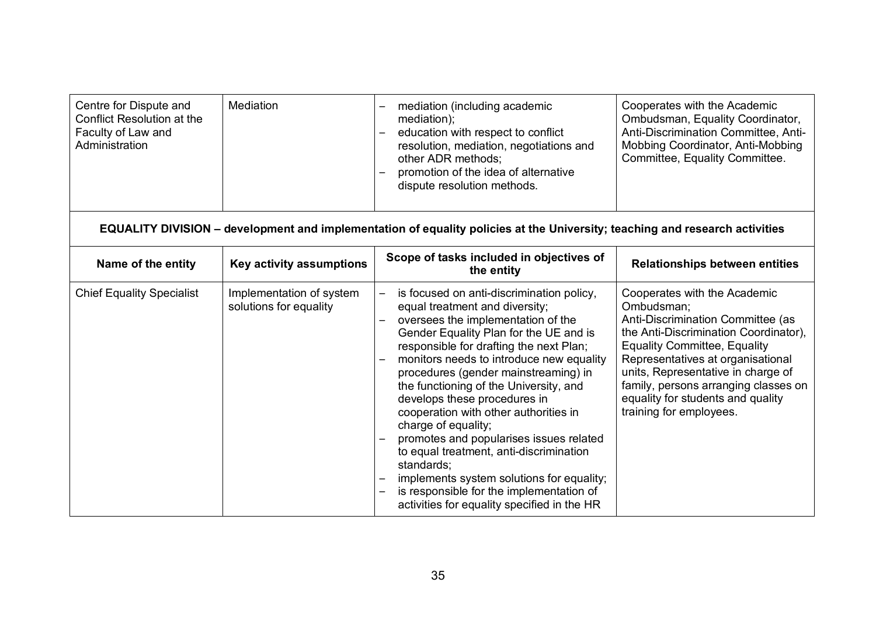| Centre for Dispute and<br>Conflict Resolution at the<br>Faculty of Law and<br>Administration | Mediation                                          | mediation (including academic<br>mediation);<br>education with respect to conflict<br>$\qquad \qquad \blacksquare$<br>resolution, mediation, negotiations and<br>other ADR methods:<br>promotion of the idea of alternative<br>dispute resolution methods.                                                                                                                                                                                                                                                                                                                                                                                                                                            | Cooperates with the Academic<br>Ombudsman, Equality Coordinator,<br>Anti-Discrimination Committee, Anti-<br>Mobbing Coordinator, Anti-Mobbing<br>Committee, Equality Committee.                                                                                                                                                                    |
|----------------------------------------------------------------------------------------------|----------------------------------------------------|-------------------------------------------------------------------------------------------------------------------------------------------------------------------------------------------------------------------------------------------------------------------------------------------------------------------------------------------------------------------------------------------------------------------------------------------------------------------------------------------------------------------------------------------------------------------------------------------------------------------------------------------------------------------------------------------------------|----------------------------------------------------------------------------------------------------------------------------------------------------------------------------------------------------------------------------------------------------------------------------------------------------------------------------------------------------|
|                                                                                              |                                                    | EQUALITY DIVISION – development and implementation of equality policies at the University; teaching and research activities                                                                                                                                                                                                                                                                                                                                                                                                                                                                                                                                                                           |                                                                                                                                                                                                                                                                                                                                                    |
| Name of the entity                                                                           | Key activity assumptions                           | Scope of tasks included in objectives of<br>the entity                                                                                                                                                                                                                                                                                                                                                                                                                                                                                                                                                                                                                                                | <b>Relationships between entities</b>                                                                                                                                                                                                                                                                                                              |
| <b>Chief Equality Specialist</b>                                                             | Implementation of system<br>solutions for equality | is focused on anti-discrimination policy,<br>equal treatment and diversity;<br>oversees the implementation of the<br>Gender Equality Plan for the UE and is<br>responsible for drafting the next Plan;<br>monitors needs to introduce new equality<br>procedures (gender mainstreaming) in<br>the functioning of the University, and<br>develops these procedures in<br>cooperation with other authorities in<br>charge of equality;<br>promotes and popularises issues related<br>to equal treatment, anti-discrimination<br>standards;<br>implements system solutions for equality;<br>is responsible for the implementation of<br>$\qquad \qquad -$<br>activities for equality specified in the HR | Cooperates with the Academic<br>Ombudsman;<br>Anti-Discrimination Committee (as<br>the Anti-Discrimination Coordinator),<br><b>Equality Committee, Equality</b><br>Representatives at organisational<br>units, Representative in charge of<br>family, persons arranging classes on<br>equality for students and quality<br>training for employees. |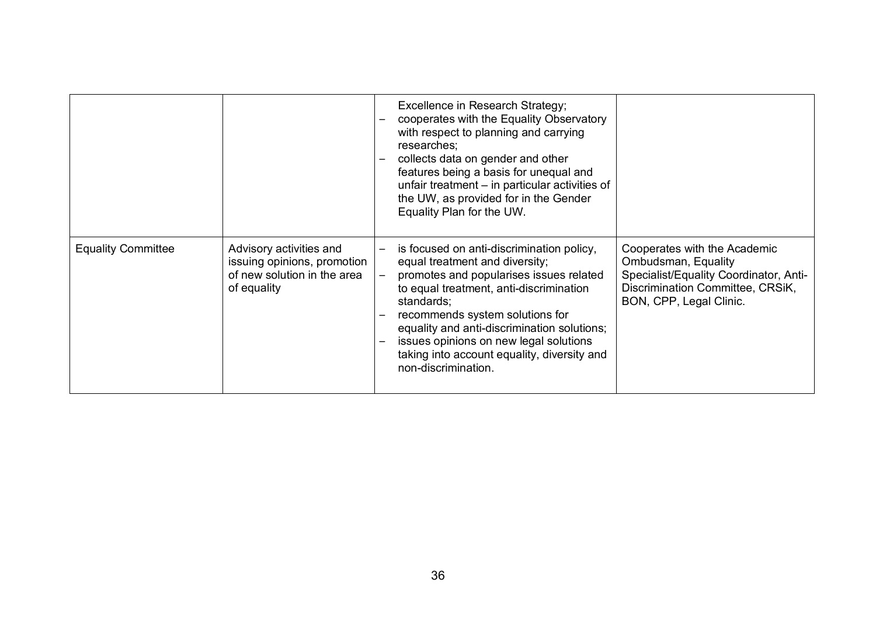|                           |                                                                                                      | Excellence in Research Strategy;<br>cooperates with the Equality Observatory<br>with respect to planning and carrying<br>researches;<br>collects data on gender and other<br>features being a basis for unequal and<br>unfair treatment – in particular activities of<br>the UW, as provided for in the Gender<br>Equality Plan for the UW.                                       |                                                                                                                                                              |
|---------------------------|------------------------------------------------------------------------------------------------------|-----------------------------------------------------------------------------------------------------------------------------------------------------------------------------------------------------------------------------------------------------------------------------------------------------------------------------------------------------------------------------------|--------------------------------------------------------------------------------------------------------------------------------------------------------------|
| <b>Equality Committee</b> | Advisory activities and<br>issuing opinions, promotion<br>of new solution in the area<br>of equality | is focused on anti-discrimination policy,<br>equal treatment and diversity;<br>promotes and popularises issues related<br>to equal treatment, anti-discrimination<br>standards;<br>recommends system solutions for<br>equality and anti-discrimination solutions;<br>issues opinions on new legal solutions<br>taking into account equality, diversity and<br>non-discrimination. | Cooperates with the Academic<br>Ombudsman, Equality<br>Specialist/Equality Coordinator, Anti-<br>Discrimination Committee, CRSiK,<br>BON, CPP, Legal Clinic. |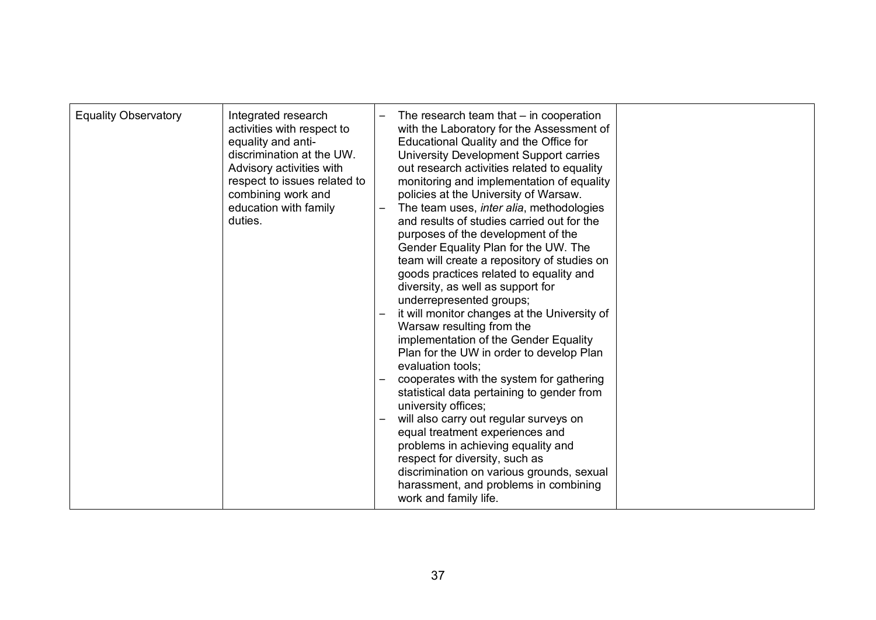| <b>Equality Observatory</b> | Integrated research<br>activities with respect to<br>equality and anti-<br>discrimination at the UW.<br>Advisory activities with<br>respect to issues related to<br>combining work and<br>education with family<br>duties. | The research team that $-$ in cooperation<br>with the Laboratory for the Assessment of<br>Educational Quality and the Office for<br>University Development Support carries<br>out research activities related to equality<br>monitoring and implementation of equality<br>policies at the University of Warsaw.<br>The team uses, inter alia, methodologies<br>and results of studies carried out for the<br>purposes of the development of the<br>Gender Equality Plan for the UW. The<br>team will create a repository of studies on<br>goods practices related to equality and<br>diversity, as well as support for<br>underrepresented groups;<br>it will monitor changes at the University of<br>Warsaw resulting from the<br>implementation of the Gender Equality<br>Plan for the UW in order to develop Plan<br>evaluation tools;<br>cooperates with the system for gathering<br>statistical data pertaining to gender from<br>university offices;<br>will also carry out regular surveys on<br>equal treatment experiences and<br>problems in achieving equality and<br>respect for diversity, such as<br>discrimination on various grounds, sexual |  |
|-----------------------------|----------------------------------------------------------------------------------------------------------------------------------------------------------------------------------------------------------------------------|--------------------------------------------------------------------------------------------------------------------------------------------------------------------------------------------------------------------------------------------------------------------------------------------------------------------------------------------------------------------------------------------------------------------------------------------------------------------------------------------------------------------------------------------------------------------------------------------------------------------------------------------------------------------------------------------------------------------------------------------------------------------------------------------------------------------------------------------------------------------------------------------------------------------------------------------------------------------------------------------------------------------------------------------------------------------------------------------------------------------------------------------------------------|--|
|                             |                                                                                                                                                                                                                            | harassment, and problems in combining<br>work and family life.                                                                                                                                                                                                                                                                                                                                                                                                                                                                                                                                                                                                                                                                                                                                                                                                                                                                                                                                                                                                                                                                                               |  |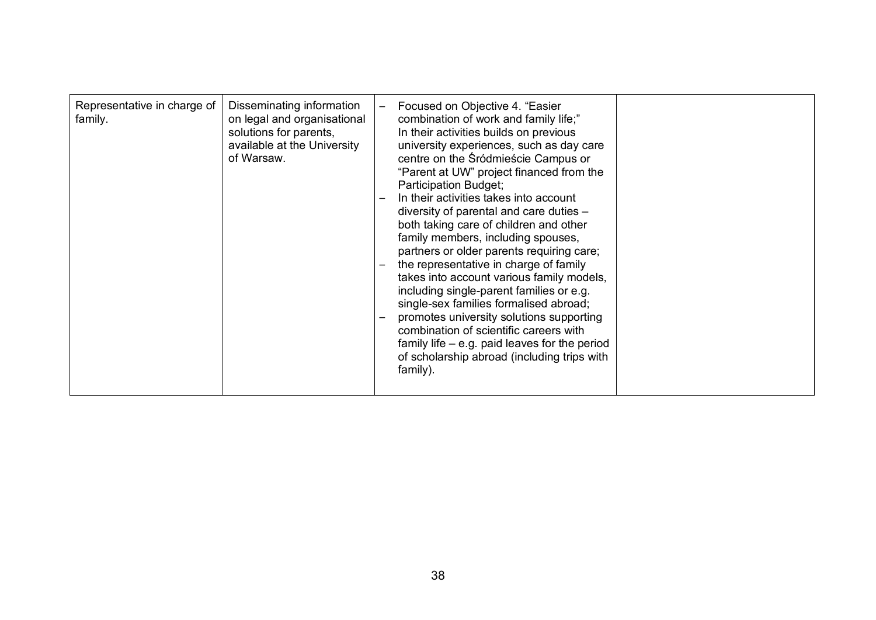| Representative in charge of<br>family. | Disseminating information<br>on legal and organisational<br>solutions for parents,<br>available at the University<br>of Warsaw. |  | Focused on Objective 4. "Easier<br>combination of work and family life;"<br>In their activities builds on previous<br>university experiences, such as day care<br>centre on the Śródmieście Campus or<br>"Parent at UW" project financed from the<br><b>Participation Budget;</b><br>In their activities takes into account<br>diversity of parental and care duties -<br>both taking care of children and other<br>family members, including spouses,<br>partners or older parents requiring care;<br>the representative in charge of family<br>takes into account various family models,<br>including single-parent families or e.g.<br>single-sex families formalised abroad;<br>promotes university solutions supporting<br>combination of scientific careers with<br>family life $-$ e.g. paid leaves for the period<br>of scholarship abroad (including trips with<br>family). |  |
|----------------------------------------|---------------------------------------------------------------------------------------------------------------------------------|--|--------------------------------------------------------------------------------------------------------------------------------------------------------------------------------------------------------------------------------------------------------------------------------------------------------------------------------------------------------------------------------------------------------------------------------------------------------------------------------------------------------------------------------------------------------------------------------------------------------------------------------------------------------------------------------------------------------------------------------------------------------------------------------------------------------------------------------------------------------------------------------------|--|
|----------------------------------------|---------------------------------------------------------------------------------------------------------------------------------|--|--------------------------------------------------------------------------------------------------------------------------------------------------------------------------------------------------------------------------------------------------------------------------------------------------------------------------------------------------------------------------------------------------------------------------------------------------------------------------------------------------------------------------------------------------------------------------------------------------------------------------------------------------------------------------------------------------------------------------------------------------------------------------------------------------------------------------------------------------------------------------------------|--|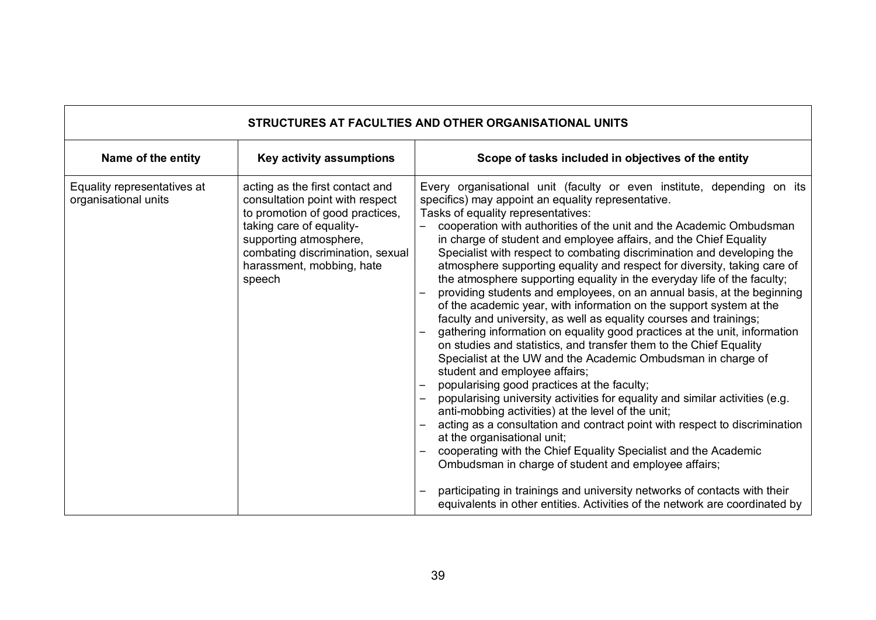| STRUCTURES AT FACULTIES AND OTHER ORGANISATIONAL UNITS |                                                                                                                                                                                                                                        |                                                                                                                                                                                                                                                                                                                                                                                                                                                                                                                                                                                                                                                                                                                                                                                                                                                                                                                                                                                                                                                                                                                                                                                                                                                                                                                                                                                                                                                                                                                                                                                                                                          |  |  |  |
|--------------------------------------------------------|----------------------------------------------------------------------------------------------------------------------------------------------------------------------------------------------------------------------------------------|------------------------------------------------------------------------------------------------------------------------------------------------------------------------------------------------------------------------------------------------------------------------------------------------------------------------------------------------------------------------------------------------------------------------------------------------------------------------------------------------------------------------------------------------------------------------------------------------------------------------------------------------------------------------------------------------------------------------------------------------------------------------------------------------------------------------------------------------------------------------------------------------------------------------------------------------------------------------------------------------------------------------------------------------------------------------------------------------------------------------------------------------------------------------------------------------------------------------------------------------------------------------------------------------------------------------------------------------------------------------------------------------------------------------------------------------------------------------------------------------------------------------------------------------------------------------------------------------------------------------------------------|--|--|--|
| Name of the entity                                     | Key activity assumptions                                                                                                                                                                                                               | Scope of tasks included in objectives of the entity                                                                                                                                                                                                                                                                                                                                                                                                                                                                                                                                                                                                                                                                                                                                                                                                                                                                                                                                                                                                                                                                                                                                                                                                                                                                                                                                                                                                                                                                                                                                                                                      |  |  |  |
| Equality representatives at<br>organisational units    | acting as the first contact and<br>consultation point with respect<br>to promotion of good practices,<br>taking care of equality-<br>supporting atmosphere,<br>combating discrimination, sexual<br>harassment, mobbing, hate<br>speech | Every organisational unit (faculty or even institute, depending on its<br>specifics) may appoint an equality representative.<br>Tasks of equality representatives:<br>cooperation with authorities of the unit and the Academic Ombudsman<br>in charge of student and employee affairs, and the Chief Equality<br>Specialist with respect to combating discrimination and developing the<br>atmosphere supporting equality and respect for diversity, taking care of<br>the atmosphere supporting equality in the everyday life of the faculty;<br>providing students and employees, on an annual basis, at the beginning<br>of the academic year, with information on the support system at the<br>faculty and university, as well as equality courses and trainings;<br>gathering information on equality good practices at the unit, information<br>on studies and statistics, and transfer them to the Chief Equality<br>Specialist at the UW and the Academic Ombudsman in charge of<br>student and employee affairs;<br>popularising good practices at the faculty;<br>popularising university activities for equality and similar activities (e.g.<br>anti-mobbing activities) at the level of the unit;<br>acting as a consultation and contract point with respect to discrimination<br>at the organisational unit;<br>cooperating with the Chief Equality Specialist and the Academic<br>Ombudsman in charge of student and employee affairs;<br>participating in trainings and university networks of contacts with their<br>$\qquad \qquad -$<br>equivalents in other entities. Activities of the network are coordinated by |  |  |  |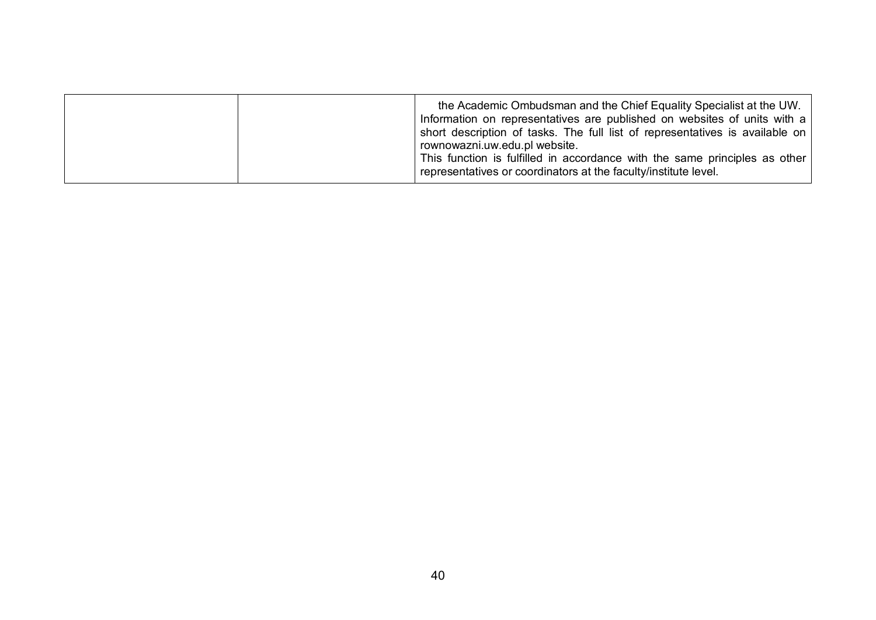| the Academic Ombudsman and the Chief Equality Specialist at the UW.<br>Information on representatives are published on websites of units with a<br>short description of tasks. The full list of representatives is available on<br>rownowazni.uw.edu.pl website.<br>This function is fulfilled in accordance with the same principles as other<br>representatives or coordinators at the faculty/institute level. |
|-------------------------------------------------------------------------------------------------------------------------------------------------------------------------------------------------------------------------------------------------------------------------------------------------------------------------------------------------------------------------------------------------------------------|
|                                                                                                                                                                                                                                                                                                                                                                                                                   |